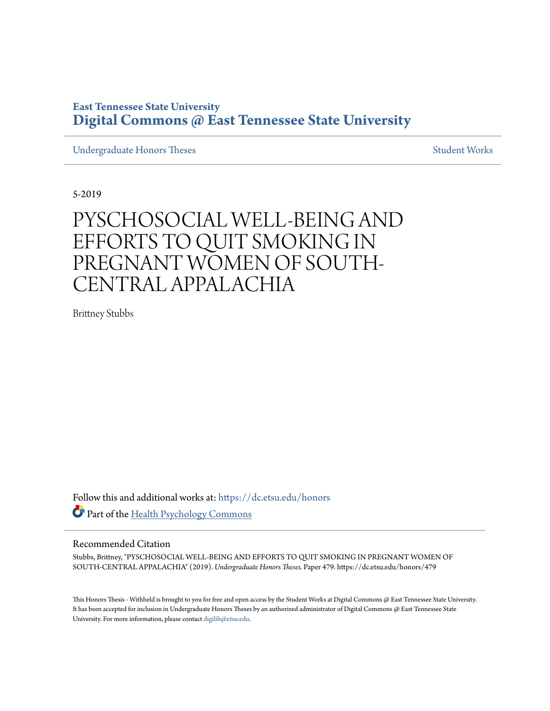# **East Tennessee State University [Digital Commons @ East Tennessee State University](https://dc.etsu.edu?utm_source=dc.etsu.edu%2Fhonors%2F479&utm_medium=PDF&utm_campaign=PDFCoverPages)**

[Undergraduate Honors Theses](https://dc.etsu.edu/honors?utm_source=dc.etsu.edu%2Fhonors%2F479&utm_medium=PDF&utm_campaign=PDFCoverPages) [Student Works](https://dc.etsu.edu/student-works?utm_source=dc.etsu.edu%2Fhonors%2F479&utm_medium=PDF&utm_campaign=PDFCoverPages)

5-2019

# PYSCHOSOCIAL WELL-BEING AND EFFORTS TO QUIT SMOKING IN PREGNANT WOMEN OF SOUTH-CENTRAL APPALACHIA

Brittney Stubbs

Follow this and additional works at: [https://dc.etsu.edu/honors](https://dc.etsu.edu/honors?utm_source=dc.etsu.edu%2Fhonors%2F479&utm_medium=PDF&utm_campaign=PDFCoverPages) Part of the [Health Psychology Commons](http://network.bepress.com/hgg/discipline/411?utm_source=dc.etsu.edu%2Fhonors%2F479&utm_medium=PDF&utm_campaign=PDFCoverPages)

#### Recommended Citation

Stubbs, Brittney, "PYSCHOSOCIAL WELL-BEING AND EFFORTS TO QUIT SMOKING IN PREGNANT WOMEN OF SOUTH-CENTRAL APPALACHIA" (2019). *Undergraduate Honors Theses.* Paper 479. https://dc.etsu.edu/honors/479

This Honors Thesis - Withheld is brought to you for free and open access by the Student Works at Digital Commons @ East Tennessee State University. It has been accepted for inclusion in Undergraduate Honors Theses by an authorized administrator of Digital Commons  $\omega$  East Tennessee State University. For more information, please contact [digilib@etsu.edu.](mailto:digilib@etsu.edu)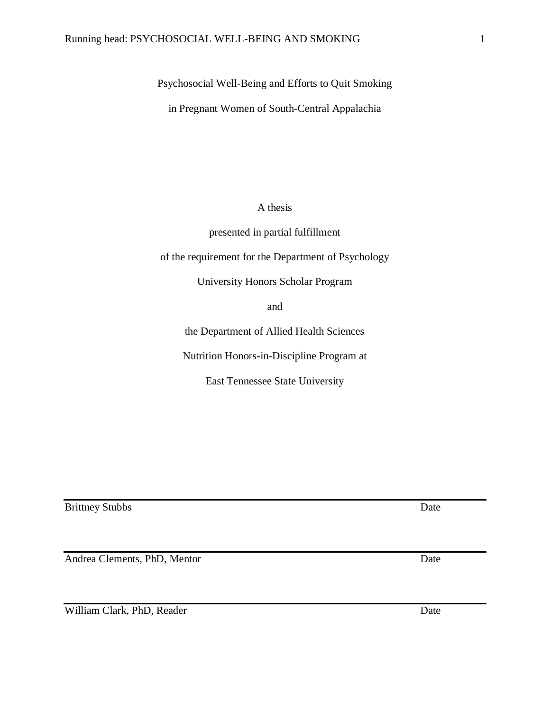Psychosocial Well-Being and Efforts to Quit Smoking

in Pregnant Women of South-Central Appalachia

A thesis

presented in partial fulfillment

of the requirement for the Department of Psychology

University Honors Scholar Program

and

the Department of Allied Health Sciences

Nutrition Honors-in-Discipline Program at

East Tennessee State University

**Brittney Stubbs** Date

Andrea Clements, PhD, Mentor Date

William Clark, PhD, Reader Date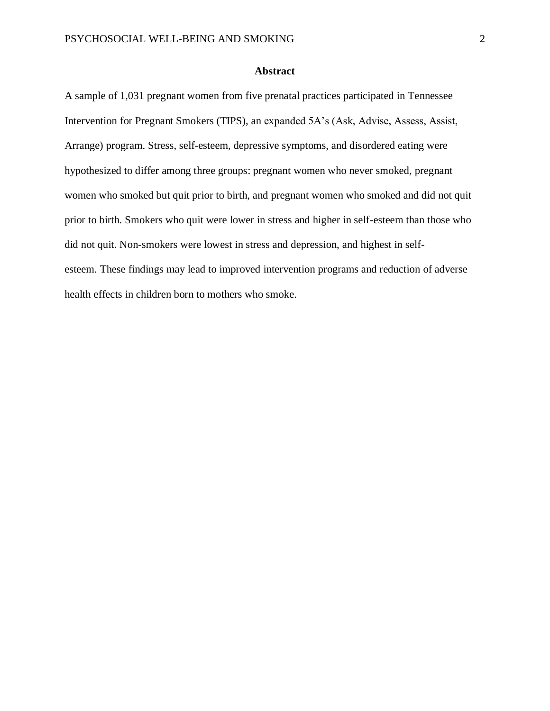## **Abstract**

A sample of 1,031 pregnant women from five prenatal practices participated in Tennessee Intervention for Pregnant Smokers (TIPS), an expanded 5A's (Ask, Advise, Assess, Assist, Arrange) program. Stress, self-esteem, depressive symptoms, and disordered eating were hypothesized to differ among three groups: pregnant women who never smoked, pregnant women who smoked but quit prior to birth, and pregnant women who smoked and did not quit prior to birth. Smokers who quit were lower in stress and higher in self-esteem than those who did not quit. Non-smokers were lowest in stress and depression, and highest in selfesteem. These findings may lead to improved intervention programs and reduction of adverse health effects in children born to mothers who smoke.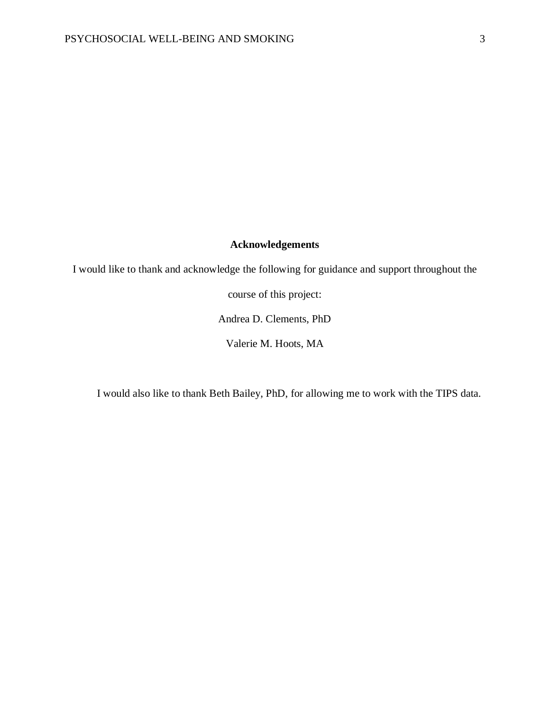# **Acknowledgements**

I would like to thank and acknowledge the following for guidance and support throughout the

course of this project:

Andrea D. Clements, PhD

Valerie M. Hoots, MA

I would also like to thank Beth Bailey, PhD, for allowing me to work with the TIPS data.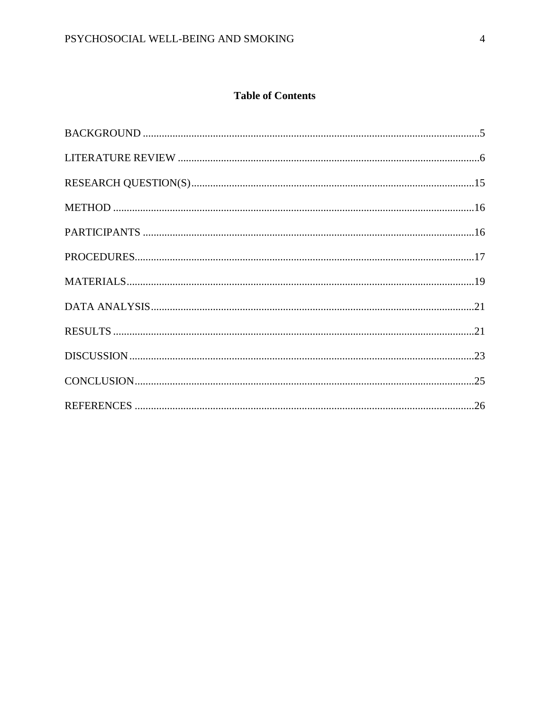# **Table of Contents**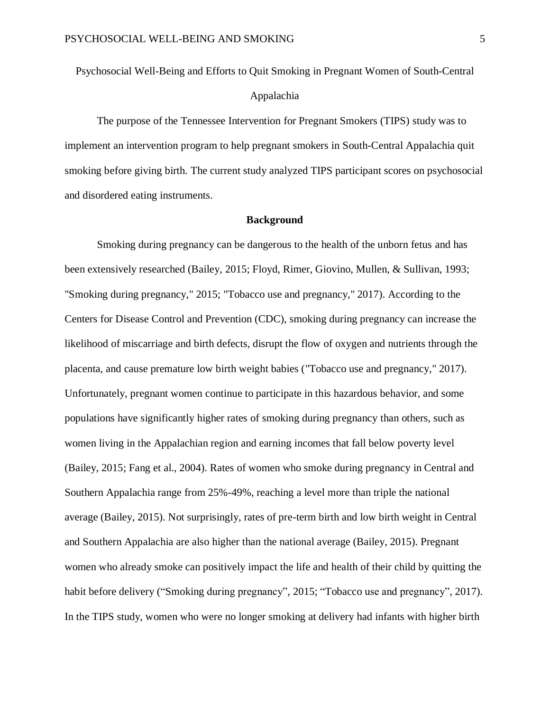Psychosocial Well-Being and Efforts to Quit Smoking in Pregnant Women of South-Central Appalachia

The purpose of the Tennessee Intervention for Pregnant Smokers (TIPS) study was to implement an intervention program to help pregnant smokers in South-Central Appalachia quit smoking before giving birth. The current study analyzed TIPS participant scores on psychosocial and disordered eating instruments.

#### **Background**

Smoking during pregnancy can be dangerous to the health of the unborn fetus and has been extensively researched (Bailey, 2015; Floyd, Rimer, Giovino, Mullen, & Sullivan, 1993; "Smoking during pregnancy," 2015; "Tobacco use and pregnancy," 2017). According to the Centers for Disease Control and Prevention (CDC), smoking during pregnancy can increase the likelihood of miscarriage and birth defects, disrupt the flow of oxygen and nutrients through the placenta, and cause premature low birth weight babies ("Tobacco use and pregnancy," 2017). Unfortunately, pregnant women continue to participate in this hazardous behavior, and some populations have significantly higher rates of smoking during pregnancy than others, such as women living in the Appalachian region and earning incomes that fall below poverty level (Bailey, 2015; Fang et al., 2004). Rates of women who smoke during pregnancy in Central and Southern Appalachia range from 25%-49%, reaching a level more than triple the national average (Bailey, 2015). Not surprisingly, rates of pre-term birth and low birth weight in Central and Southern Appalachia are also higher than the national average (Bailey, 2015). Pregnant women who already smoke can positively impact the life and health of their child by quitting the habit before delivery ("Smoking during pregnancy", 2015; "Tobacco use and pregnancy", 2017). In the TIPS study, women who were no longer smoking at delivery had infants with higher birth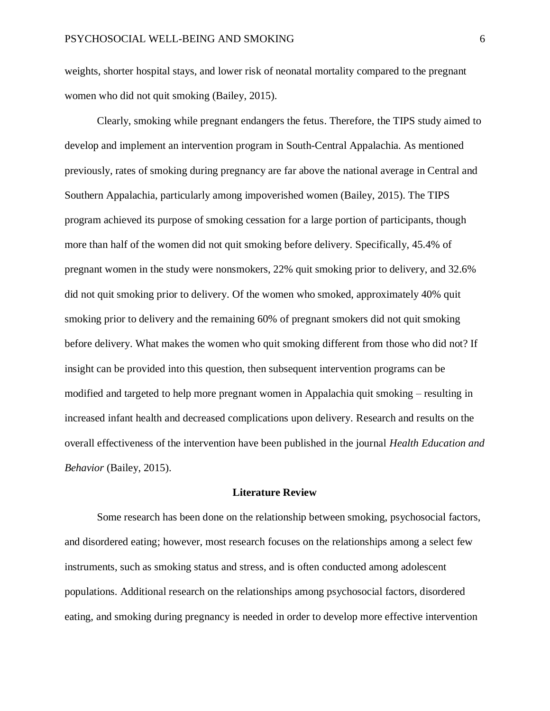weights, shorter hospital stays, and lower risk of neonatal mortality compared to the pregnant women who did not quit smoking (Bailey, 2015).

Clearly, smoking while pregnant endangers the fetus. Therefore, the TIPS study aimed to develop and implement an intervention program in South-Central Appalachia. As mentioned previously, rates of smoking during pregnancy are far above the national average in Central and Southern Appalachia, particularly among impoverished women (Bailey, 2015). The TIPS program achieved its purpose of smoking cessation for a large portion of participants, though more than half of the women did not quit smoking before delivery. Specifically, 45.4% of pregnant women in the study were nonsmokers, 22% quit smoking prior to delivery, and 32.6% did not quit smoking prior to delivery. Of the women who smoked, approximately 40% quit smoking prior to delivery and the remaining 60% of pregnant smokers did not quit smoking before delivery. What makes the women who quit smoking different from those who did not? If insight can be provided into this question, then subsequent intervention programs can be modified and targeted to help more pregnant women in Appalachia quit smoking – resulting in increased infant health and decreased complications upon delivery. Research and results on the overall effectiveness of the intervention have been published in the journal *Health Education and Behavior* (Bailey, 2015).

# **Literature Review**

Some research has been done on the relationship between smoking, psychosocial factors, and disordered eating; however, most research focuses on the relationships among a select few instruments, such as smoking status and stress, and is often conducted among adolescent populations. Additional research on the relationships among psychosocial factors, disordered eating, and smoking during pregnancy is needed in order to develop more effective intervention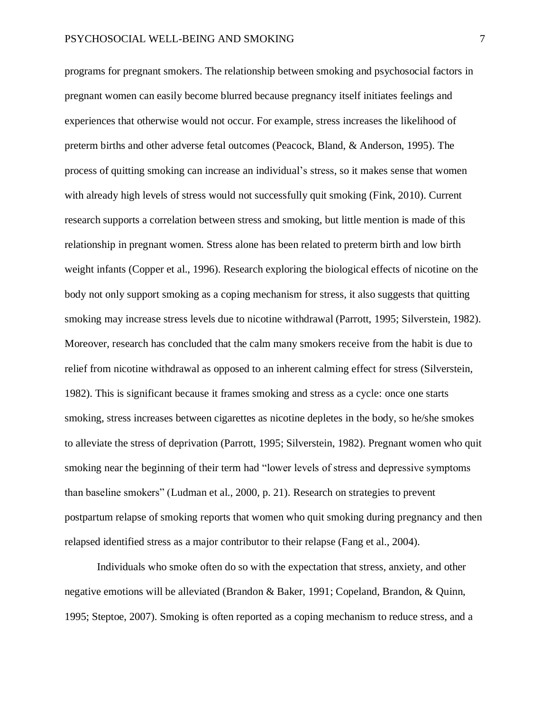programs for pregnant smokers. The relationship between smoking and psychosocial factors in pregnant women can easily become blurred because pregnancy itself initiates feelings and experiences that otherwise would not occur. For example, stress increases the likelihood of preterm births and other adverse fetal outcomes (Peacock, Bland, & Anderson, 1995). The process of quitting smoking can increase an individual's stress, so it makes sense that women with already high levels of stress would not successfully quit smoking (Fink, 2010). Current research supports a correlation between stress and smoking, but little mention is made of this relationship in pregnant women. Stress alone has been related to preterm birth and low birth weight infants (Copper et al., 1996). Research exploring the biological effects of nicotine on the body not only support smoking as a coping mechanism for stress, it also suggests that quitting smoking may increase stress levels due to nicotine withdrawal (Parrott, 1995; Silverstein, 1982). Moreover, research has concluded that the calm many smokers receive from the habit is due to relief from nicotine withdrawal as opposed to an inherent calming effect for stress (Silverstein, 1982). This is significant because it frames smoking and stress as a cycle: once one starts smoking, stress increases between cigarettes as nicotine depletes in the body, so he/she smokes to alleviate the stress of deprivation (Parrott, 1995; Silverstein, 1982). Pregnant women who quit smoking near the beginning of their term had "lower levels of stress and depressive symptoms than baseline smokers" (Ludman et al., 2000, p. 21). Research on strategies to prevent postpartum relapse of smoking reports that women who quit smoking during pregnancy and then relapsed identified stress as a major contributor to their relapse (Fang et al., 2004).

Individuals who smoke often do so with the expectation that stress, anxiety, and other negative emotions will be alleviated (Brandon & Baker, 1991; Copeland, Brandon, & Quinn, 1995; Steptoe, 2007). Smoking is often reported as a coping mechanism to reduce stress, and a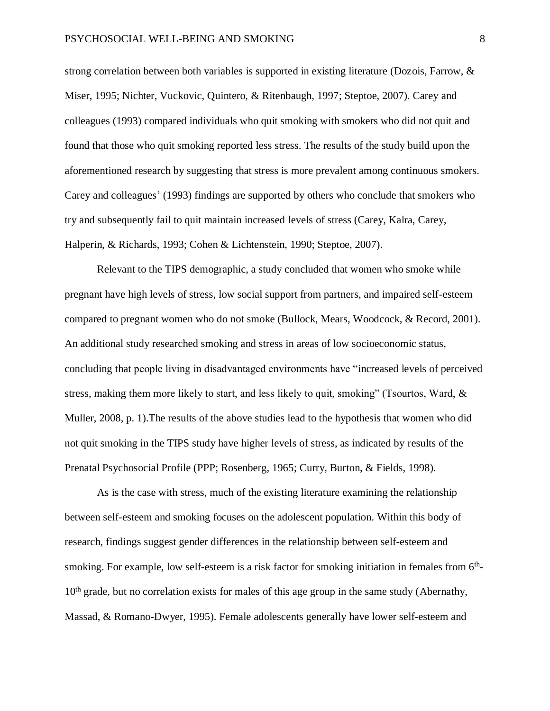strong correlation between both variables is supported in existing literature (Dozois, Farrow, & Miser, 1995; Nichter, Vuckovic, Quintero, & Ritenbaugh, 1997; Steptoe, 2007). Carey and colleagues (1993) compared individuals who quit smoking with smokers who did not quit and found that those who quit smoking reported less stress. The results of the study build upon the aforementioned research by suggesting that stress is more prevalent among continuous smokers. Carey and colleagues' (1993) findings are supported by others who conclude that smokers who try and subsequently fail to quit maintain increased levels of stress (Carey, Kalra, Carey, Halperin, & Richards, 1993; Cohen & Lichtenstein, 1990; Steptoe, 2007).

Relevant to the TIPS demographic, a study concluded that women who smoke while pregnant have high levels of stress, low social support from partners, and impaired self-esteem compared to pregnant women who do not smoke (Bullock, Mears, Woodcock, & Record, 2001). An additional study researched smoking and stress in areas of low socioeconomic status, concluding that people living in disadvantaged environments have "increased levels of perceived stress, making them more likely to start, and less likely to quit, smoking" (Tsourtos, Ward, & Muller, 2008, p. 1).The results of the above studies lead to the hypothesis that women who did not quit smoking in the TIPS study have higher levels of stress, as indicated by results of the Prenatal Psychosocial Profile (PPP; Rosenberg, 1965; Curry, Burton, & Fields, 1998).

As is the case with stress, much of the existing literature examining the relationship between self-esteem and smoking focuses on the adolescent population. Within this body of research, findings suggest gender differences in the relationship between self-esteem and smoking. For example, low self-esteem is a risk factor for smoking initiation in females from  $6<sup>th</sup>$ -10<sup>th</sup> grade, but no correlation exists for males of this age group in the same study (Abernathy, Massad, & Romano-Dwyer, 1995). Female adolescents generally have lower self-esteem and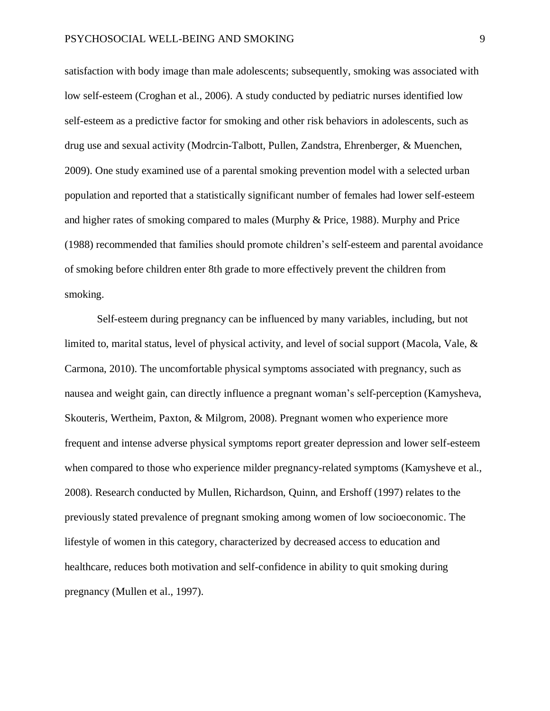satisfaction with body image than male adolescents; subsequently, smoking was associated with low self-esteem (Croghan et al., 2006). A study conducted by pediatric nurses identified low self-esteem as a predictive factor for smoking and other risk behaviors in adolescents, such as drug use and sexual activity (Modrcin-Talbott, Pullen, Zandstra, Ehrenberger, & Muenchen, 2009). One study examined use of a parental smoking prevention model with a selected urban population and reported that a statistically significant number of females had lower self-esteem and higher rates of smoking compared to males (Murphy & Price, 1988). Murphy and Price (1988) recommended that families should promote children's self-esteem and parental avoidance of smoking before children enter 8th grade to more effectively prevent the children from smoking.

Self-esteem during pregnancy can be influenced by many variables, including, but not limited to, marital status, level of physical activity, and level of social support (Macola, Vale, & Carmona, 2010). The uncomfortable physical symptoms associated with pregnancy, such as nausea and weight gain, can directly influence a pregnant woman's self-perception (Kamysheva, Skouteris, Wertheim, Paxton, & Milgrom, 2008). Pregnant women who experience more frequent and intense adverse physical symptoms report greater depression and lower self-esteem when compared to those who experience milder pregnancy-related symptoms (Kamysheve et al., 2008). Research conducted by Mullen, Richardson, Quinn, and Ershoff (1997) relates to the previously stated prevalence of pregnant smoking among women of low socioeconomic. The lifestyle of women in this category, characterized by decreased access to education and healthcare, reduces both motivation and self-confidence in ability to quit smoking during pregnancy (Mullen et al., 1997).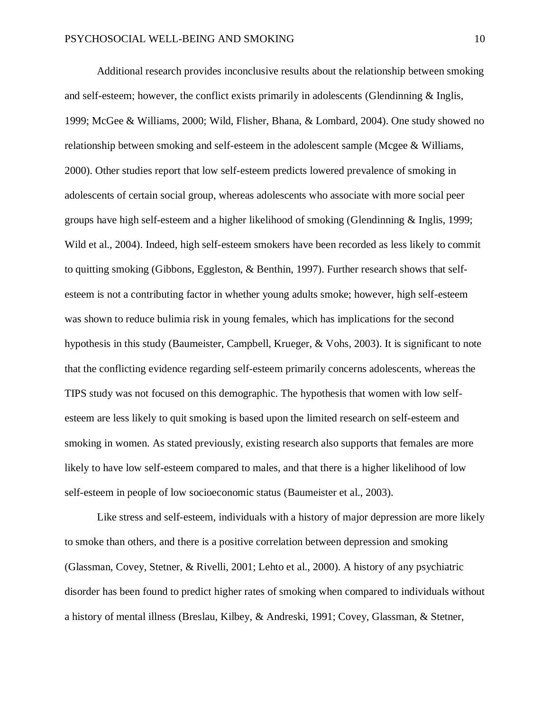Additional research provides inconclusive results about the relationship between smoking and self-esteem; however, the conflict exists primarily in adolescents (Glendinning & Inglis, 1999; McGee & Williams, 2000; Wild, Flisher, Bhana, & Lombard, 2004). One study showed no relationship between smoking and self-esteem in the adolescent sample (Mcgee & Williams, 2000). Other studies report that low self-esteem predicts lowered prevalence of smoking in adolescents of certain social group, whereas adolescents who associate with more social peer groups have high self-esteem and a higher likelihood of smoking (Glendinning & Inglis, 1999; Wild et al., 2004). Indeed, high self-esteem smokers have been recorded as less likely to commit to quitting smoking (Gibbons, Eggleston, & Benthin, 1997). Further research shows that selfesteem is not a contributing factor in whether young adults smoke; however, high self-esteem was shown to reduce bulimia risk in young females, which has implications for the second hypothesis in this study (Baumeister, Campbell, Krueger, & Vohs, 2003). It is significant to note that the conflicting evidence regarding self-esteem primarily concerns adolescents, whereas the TIPS study was not focused on this demographic. The hypothesis that women with low selfesteem are less likely to quit smoking is based upon the limited research on self-esteem and smoking in women. As stated previously, existing research also supports that females are more likely to have low self-esteem compared to males, and that there is a higher likelihood of low self-esteem in people of low socioeconomic status (Baumeister et al., 2003).

Like stress and self-esteem, individuals with a history of major depression are more likely to smoke than others, and there is a positive correlation between depression and smoking (Glassman, Covey, Stetner, & Rivelli, 2001; Lehto et al., 2000). A history of any psychiatric disorder has been found to predict higher rates of smoking when compared to individuals without a history of mental illness (Breslau, Kilbey, & Andreski, 1991; Covey, Glassman, & Stetner,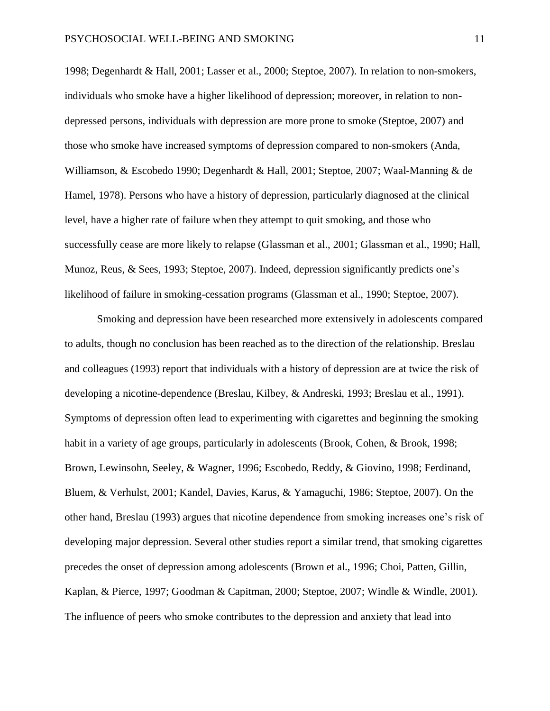1998; Degenhardt & Hall, 2001; Lasser et al., 2000; Steptoe, 2007). In relation to non-smokers, individuals who smoke have a higher likelihood of depression; moreover, in relation to nondepressed persons, individuals with depression are more prone to smoke (Steptoe, 2007) and those who smoke have increased symptoms of depression compared to non-smokers (Anda, Williamson, & Escobedo 1990; Degenhardt & Hall, 2001; Steptoe, 2007; Waal-Manning & de Hamel, 1978). Persons who have a history of depression, particularly diagnosed at the clinical level, have a higher rate of failure when they attempt to quit smoking, and those who successfully cease are more likely to relapse (Glassman et al., 2001; Glassman et al., 1990; Hall, Munoz, Reus, & Sees, 1993; Steptoe, 2007). Indeed, depression significantly predicts one's likelihood of failure in smoking-cessation programs (Glassman et al., 1990; Steptoe, 2007).

Smoking and depression have been researched more extensively in adolescents compared to adults, though no conclusion has been reached as to the direction of the relationship. Breslau and colleagues (1993) report that individuals with a history of depression are at twice the risk of developing a nicotine-dependence (Breslau, Kilbey, & Andreski, 1993; Breslau et al., 1991). Symptoms of depression often lead to experimenting with cigarettes and beginning the smoking habit in a variety of age groups, particularly in adolescents (Brook, Cohen, & Brook, 1998; Brown, Lewinsohn, Seeley, & Wagner, 1996; Escobedo, Reddy, & Giovino, 1998; Ferdinand, Bluem, & Verhulst, 2001; Kandel, Davies, Karus, & Yamaguchi, 1986; Steptoe, 2007). On the other hand, Breslau (1993) argues that nicotine dependence from smoking increases one's risk of developing major depression. Several other studies report a similar trend, that smoking cigarettes precedes the onset of depression among adolescents (Brown et al., 1996; Choi, Patten, Gillin, Kaplan, & Pierce, 1997; Goodman & Capitman, 2000; Steptoe, 2007; Windle & Windle, 2001). The influence of peers who smoke contributes to the depression and anxiety that lead into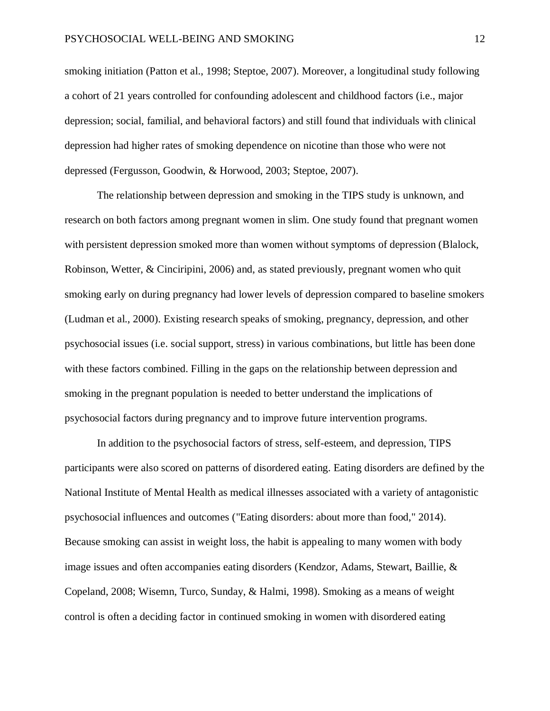smoking initiation (Patton et al., 1998; Steptoe, 2007). Moreover, a longitudinal study following a cohort of 21 years controlled for confounding adolescent and childhood factors (i.e., major depression; social, familial, and behavioral factors) and still found that individuals with clinical depression had higher rates of smoking dependence on nicotine than those who were not depressed (Fergusson, Goodwin, & Horwood, 2003; Steptoe, 2007).

The relationship between depression and smoking in the TIPS study is unknown, and research on both factors among pregnant women in slim. One study found that pregnant women with persistent depression smoked more than women without symptoms of depression (Blalock, Robinson, Wetter, & Cinciripini, 2006) and, as stated previously, pregnant women who quit smoking early on during pregnancy had lower levels of depression compared to baseline smokers (Ludman et al., 2000). Existing research speaks of smoking, pregnancy, depression, and other psychosocial issues (i.e. social support, stress) in various combinations, but little has been done with these factors combined. Filling in the gaps on the relationship between depression and smoking in the pregnant population is needed to better understand the implications of psychosocial factors during pregnancy and to improve future intervention programs.

In addition to the psychosocial factors of stress, self-esteem, and depression, TIPS participants were also scored on patterns of disordered eating. Eating disorders are defined by the National Institute of Mental Health as medical illnesses associated with a variety of antagonistic psychosocial influences and outcomes ("Eating disorders: about more than food," 2014). Because smoking can assist in weight loss, the habit is appealing to many women with body image issues and often accompanies eating disorders (Kendzor, Adams, Stewart, Baillie, & Copeland, 2008; Wisemn, Turco, Sunday, & Halmi, 1998). Smoking as a means of weight control is often a deciding factor in continued smoking in women with disordered eating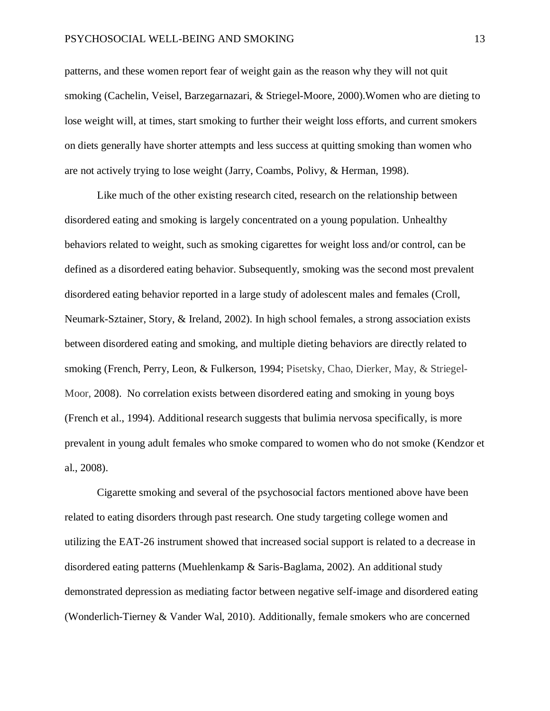#### PSYCHOSOCIAL WELL-BEING AND SMOKING 13

patterns, and these women report fear of weight gain as the reason why they will not quit smoking (Cachelin, Veisel, Barzegarnazari, & Striegel-Moore, 2000).Women who are dieting to lose weight will, at times, start smoking to further their weight loss efforts, and current smokers on diets generally have shorter attempts and less success at quitting smoking than women who are not actively trying to lose weight (Jarry, Coambs, Polivy, & Herman, 1998).

Like much of the other existing research cited, research on the relationship between disordered eating and smoking is largely concentrated on a young population. Unhealthy behaviors related to weight, such as smoking cigarettes for weight loss and/or control, can be defined as a disordered eating behavior. Subsequently, smoking was the second most prevalent disordered eating behavior reported in a large study of adolescent males and females (Croll, Neumark-Sztainer, Story, & Ireland, 2002). In high school females, a strong association exists between disordered eating and smoking, and multiple dieting behaviors are directly related to smoking (French, Perry, Leon, & Fulkerson, 1994; Pisetsky, Chao, Dierker, May, & Striegel-Moor, 2008). No correlation exists between disordered eating and smoking in young boys (French et al., 1994). Additional research suggests that bulimia nervosa specifically, is more prevalent in young adult females who smoke compared to women who do not smoke (Kendzor et al., 2008).

Cigarette smoking and several of the psychosocial factors mentioned above have been related to eating disorders through past research. One study targeting college women and utilizing the EAT-26 instrument showed that increased social support is related to a decrease in disordered eating patterns (Muehlenkamp & Saris-Baglama, 2002). An additional study demonstrated depression as mediating factor between negative self-image and disordered eating (Wonderlich-Tierney & Vander Wal, 2010). Additionally, female smokers who are concerned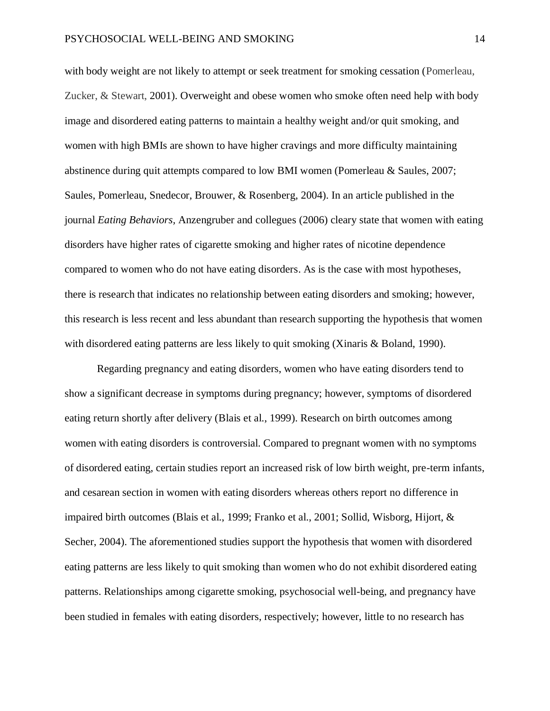with body weight are not likely to attempt or seek treatment for smoking cessation (Pomerleau, Zucker, & Stewart, 2001). Overweight and obese women who smoke often need help with body image and disordered eating patterns to maintain a healthy weight and/or quit smoking, and women with high BMIs are shown to have higher cravings and more difficulty maintaining abstinence during quit attempts compared to low BMI women (Pomerleau & Saules, 2007; Saules, Pomerleau, Snedecor, Brouwer, & Rosenberg, 2004). In an article published in the journal *Eating Behaviors,* Anzengruber and collegues (2006) cleary state that women with eating disorders have higher rates of cigarette smoking and higher rates of nicotine dependence compared to women who do not have eating disorders. As is the case with most hypotheses, there is research that indicates no relationship between eating disorders and smoking; however, this research is less recent and less abundant than research supporting the hypothesis that women with disordered eating patterns are less likely to quit smoking (Xinaris & Boland, 1990).

Regarding pregnancy and eating disorders, women who have eating disorders tend to show a significant decrease in symptoms during pregnancy; however, symptoms of disordered eating return shortly after delivery (Blais et al., 1999). Research on birth outcomes among women with eating disorders is controversial. Compared to pregnant women with no symptoms of disordered eating, certain studies report an increased risk of low birth weight, pre-term infants, and cesarean section in women with eating disorders whereas others report no difference in impaired birth outcomes (Blais et al., 1999; Franko et al., 2001; Sollid, Wisborg, Hijort, & Secher, 2004). The aforementioned studies support the hypothesis that women with disordered eating patterns are less likely to quit smoking than women who do not exhibit disordered eating patterns. Relationships among cigarette smoking, psychosocial well-being, and pregnancy have been studied in females with eating disorders, respectively; however, little to no research has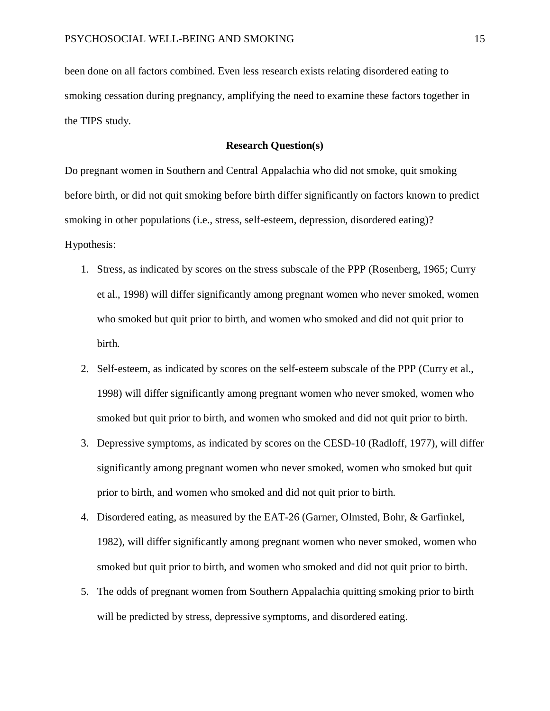been done on all factors combined. Even less research exists relating disordered eating to smoking cessation during pregnancy, amplifying the need to examine these factors together in the TIPS study.

# **Research Question(s)**

Do pregnant women in Southern and Central Appalachia who did not smoke, quit smoking before birth, or did not quit smoking before birth differ significantly on factors known to predict smoking in other populations (i.e., stress, self-esteem, depression, disordered eating)?

Hypothesis:

- 1. Stress, as indicated by scores on the stress subscale of the PPP (Rosenberg, 1965; Curry et al., 1998) will differ significantly among pregnant women who never smoked, women who smoked but quit prior to birth, and women who smoked and did not quit prior to birth.
- 2. Self-esteem, as indicated by scores on the self-esteem subscale of the PPP (Curry et al., 1998) will differ significantly among pregnant women who never smoked, women who smoked but quit prior to birth, and women who smoked and did not quit prior to birth.
- 3. Depressive symptoms, as indicated by scores on the CESD-10 (Radloff, 1977), will differ significantly among pregnant women who never smoked, women who smoked but quit prior to birth, and women who smoked and did not quit prior to birth.
- 4. Disordered eating, as measured by the EAT-26 (Garner, Olmsted, Bohr, & Garfinkel, 1982), will differ significantly among pregnant women who never smoked, women who smoked but quit prior to birth, and women who smoked and did not quit prior to birth.
- 5. The odds of pregnant women from Southern Appalachia quitting smoking prior to birth will be predicted by stress, depressive symptoms, and disordered eating.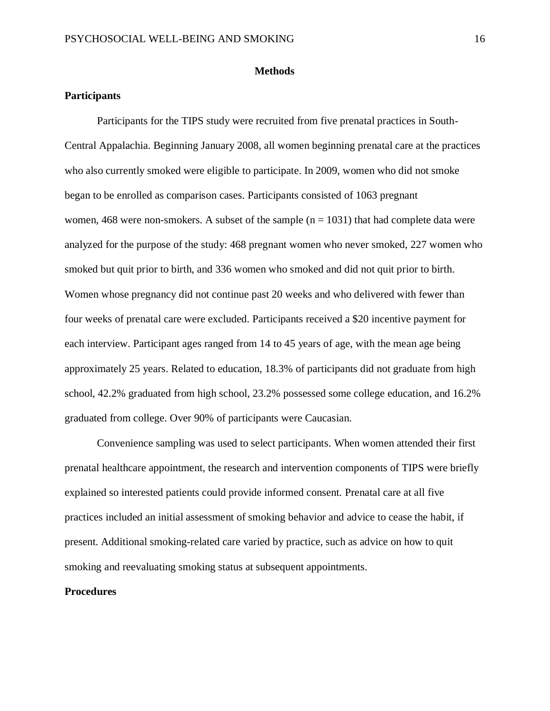## **Methods**

# **Participants**

Participants for the TIPS study were recruited from five prenatal practices in South-Central Appalachia. Beginning January 2008, all women beginning prenatal care at the practices who also currently smoked were eligible to participate. In 2009, women who did not smoke began to be enrolled as comparison cases. Participants consisted of 1063 pregnant women, 468 were non-smokers. A subset of the sample  $(n = 1031)$  that had complete data were analyzed for the purpose of the study: 468 pregnant women who never smoked, 227 women who smoked but quit prior to birth, and 336 women who smoked and did not quit prior to birth. Women whose pregnancy did not continue past 20 weeks and who delivered with fewer than four weeks of prenatal care were excluded. Participants received a \$20 incentive payment for each interview. Participant ages ranged from 14 to 45 years of age, with the mean age being approximately 25 years. Related to education, 18.3% of participants did not graduate from high school, 42.2% graduated from high school, 23.2% possessed some college education, and 16.2% graduated from college. Over 90% of participants were Caucasian.

Convenience sampling was used to select participants. When women attended their first prenatal healthcare appointment, the research and intervention components of TIPS were briefly explained so interested patients could provide informed consent. Prenatal care at all five practices included an initial assessment of smoking behavior and advice to cease the habit, if present. Additional smoking-related care varied by practice, such as advice on how to quit smoking and reevaluating smoking status at subsequent appointments.

#### **Procedures**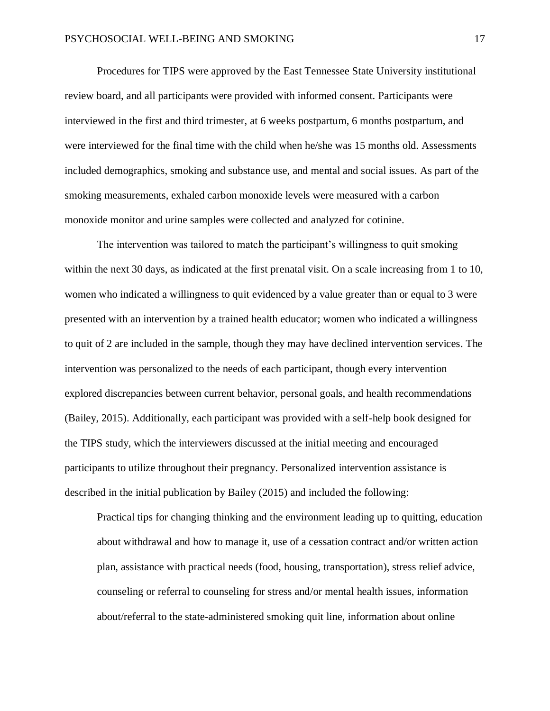Procedures for TIPS were approved by the East Tennessee State University institutional review board, and all participants were provided with informed consent. Participants were interviewed in the first and third trimester, at 6 weeks postpartum, 6 months postpartum, and were interviewed for the final time with the child when he/she was 15 months old. Assessments included demographics, smoking and substance use, and mental and social issues. As part of the smoking measurements, exhaled carbon monoxide levels were measured with a carbon monoxide monitor and urine samples were collected and analyzed for cotinine.

The intervention was tailored to match the participant's willingness to quit smoking within the next 30 days, as indicated at the first prenatal visit. On a scale increasing from 1 to 10, women who indicated a willingness to quit evidenced by a value greater than or equal to 3 were presented with an intervention by a trained health educator; women who indicated a willingness to quit of 2 are included in the sample, though they may have declined intervention services. The intervention was personalized to the needs of each participant, though every intervention explored discrepancies between current behavior, personal goals, and health recommendations (Bailey, 2015). Additionally, each participant was provided with a self-help book designed for the TIPS study, which the interviewers discussed at the initial meeting and encouraged participants to utilize throughout their pregnancy. Personalized intervention assistance is described in the initial publication by Bailey (2015) and included the following:

Practical tips for changing thinking and the environment leading up to quitting, education about withdrawal and how to manage it, use of a cessation contract and/or written action plan, assistance with practical needs (food, housing, transportation), stress relief advice, counseling or referral to counseling for stress and/or mental health issues, information about/referral to the state-administered smoking quit line, information about online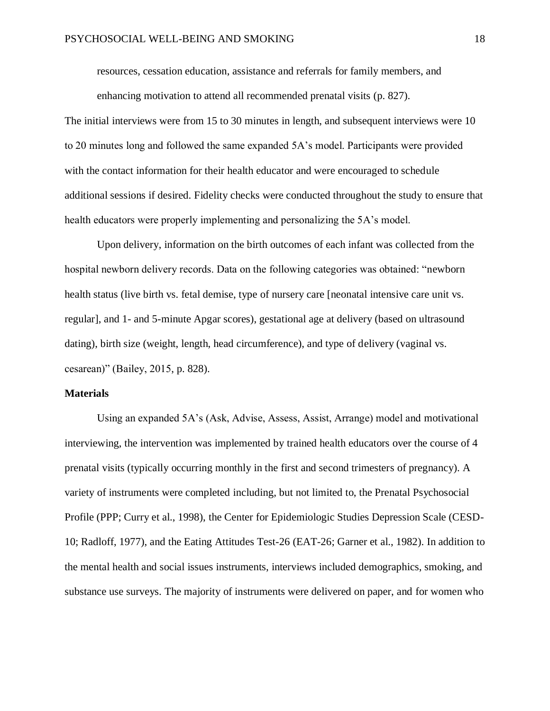resources, cessation education, assistance and referrals for family members, and enhancing motivation to attend all recommended prenatal visits (p. 827).

The initial interviews were from 15 to 30 minutes in length, and subsequent interviews were 10 to 20 minutes long and followed the same expanded 5A's model. Participants were provided with the contact information for their health educator and were encouraged to schedule additional sessions if desired. Fidelity checks were conducted throughout the study to ensure that health educators were properly implementing and personalizing the 5A's model.

Upon delivery, information on the birth outcomes of each infant was collected from the hospital newborn delivery records. Data on the following categories was obtained: "newborn health status (live birth vs. fetal demise, type of nursery care [neonatal intensive care unit vs. regular], and 1- and 5-minute Apgar scores), gestational age at delivery (based on ultrasound dating), birth size (weight, length, head circumference), and type of delivery (vaginal vs. cesarean)" (Bailey, 2015, p. 828).

### **Materials**

Using an expanded 5A's (Ask, Advise, Assess, Assist, Arrange) model and motivational interviewing, the intervention was implemented by trained health educators over the course of 4 prenatal visits (typically occurring monthly in the first and second trimesters of pregnancy). A variety of instruments were completed including, but not limited to, the Prenatal Psychosocial Profile (PPP; Curry et al., 1998), the Center for Epidemiologic Studies Depression Scale (CESD-10; Radloff, 1977), and the Eating Attitudes Test-26 (EAT-26; Garner et al., 1982). In addition to the mental health and social issues instruments, interviews included demographics, smoking, and substance use surveys. The majority of instruments were delivered on paper, and for women who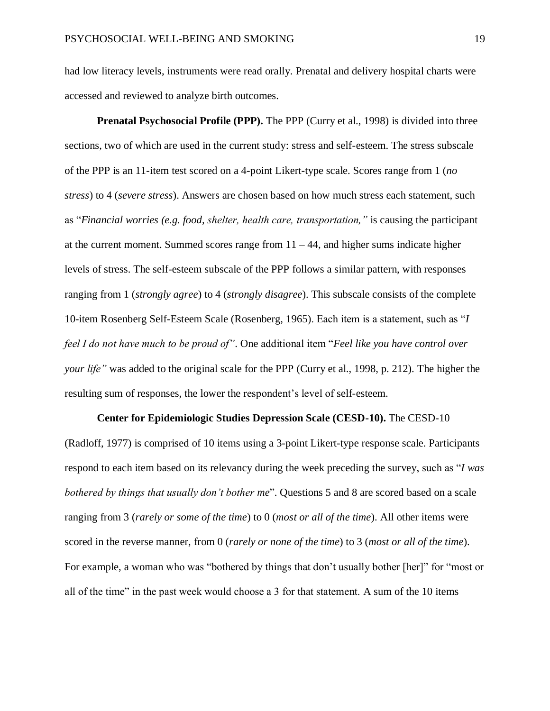had low literacy levels, instruments were read orally. Prenatal and delivery hospital charts were accessed and reviewed to analyze birth outcomes.

**Prenatal Psychosocial Profile (PPP).** The PPP (Curry et al., 1998) is divided into three sections, two of which are used in the current study: stress and self-esteem. The stress subscale of the PPP is an 11-item test scored on a 4-point Likert-type scale. Scores range from 1 (*no stress*) to 4 (*severe stress*). Answers are chosen based on how much stress each statement, such as "*Financial worries (e.g. food, shelter, health care, transportation,"* is causing the participant at the current moment. Summed scores range from  $11 - 44$ , and higher sums indicate higher levels of stress. The self-esteem subscale of the PPP follows a similar pattern, with responses ranging from 1 (*strongly agree*) to 4 (*strongly disagree*). This subscale consists of the complete 10-item Rosenberg Self-Esteem Scale (Rosenberg, 1965). Each item is a statement, such as "*I feel I do not have much to be proud of"*. One additional item "*Feel like you have control over your life*" was added to the original scale for the PPP (Curry et al., 1998, p. 212). The higher the resulting sum of responses, the lower the respondent's level of self-esteem.

**Center for Epidemiologic Studies Depression Scale (CESD-10).** The CESD-10

(Radloff, 1977) is comprised of 10 items using a 3-point Likert-type response scale. Participants respond to each item based on its relevancy during the week preceding the survey, such as "*I was bothered by things that usually don't bother me*". Questions 5 and 8 are scored based on a scale ranging from 3 (*rarely or some of the time*) to 0 (*most or all of the time*). All other items were scored in the reverse manner, from 0 (*rarely or none of the time*) to 3 (*most or all of the time*). For example, a woman who was "bothered by things that don't usually bother [her]" for "most or all of the time" in the past week would choose a 3 for that statement. A sum of the 10 items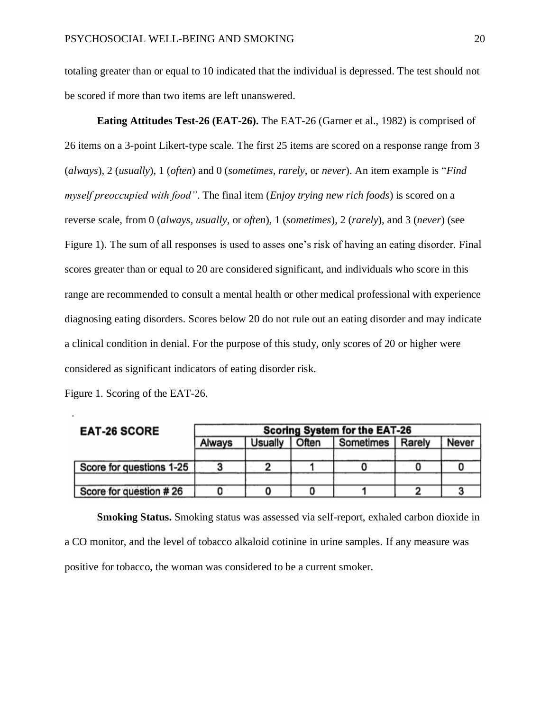totaling greater than or equal to 10 indicated that the individual is depressed. The test should not be scored if more than two items are left unanswered.

**Eating Attitudes Test-26 (EAT-26).** The EAT-26 (Garner et al., 1982) is comprised of 26 items on a 3-point Likert-type scale. The first 25 items are scored on a response range from 3 (*always*), 2 (*usually*), 1 (*often*) and 0 (*sometimes, rarely*, or *never*). An item example is "*Find myself preoccupied with food"*. The final item (*Enjoy trying new rich foods*) is scored on a reverse scale, from 0 (*always, usually,* or *often*), 1 (*sometimes*), 2 (*rarely*), and 3 (*never*) (see Figure 1). The sum of all responses is used to asses one's risk of having an eating disorder. Final scores greater than or equal to 20 are considered significant, and individuals who score in this range are recommended to consult a mental health or other medical professional with experience diagnosing eating disorders. Scores below 20 do not rule out an eating disorder and may indicate a clinical condition in denial. For the purpose of this study, only scores of 20 or higher were considered as significant indicators of eating disorder risk.

Figure 1. Scoring of the EAT-26.

| <b>EAT-26 SCORE</b>      | <b>Scoring System for the EAT-26</b> |                |       |                  |        |       |
|--------------------------|--------------------------------------|----------------|-------|------------------|--------|-------|
|                          | Always                               | <b>Usually</b> | Often | <b>Sometimes</b> | Rarely | Never |
|                          |                                      |                |       |                  |        |       |
| Score for questions 1-25 |                                      |                |       |                  |        |       |
|                          |                                      |                |       |                  |        |       |
| Score for question #26   |                                      |                |       |                  |        |       |

**Smoking Status.** Smoking status was assessed via self-report, exhaled carbon dioxide in a CO monitor, and the level of tobacco alkaloid cotinine in urine samples. If any measure was positive for tobacco, the woman was considered to be a current smoker.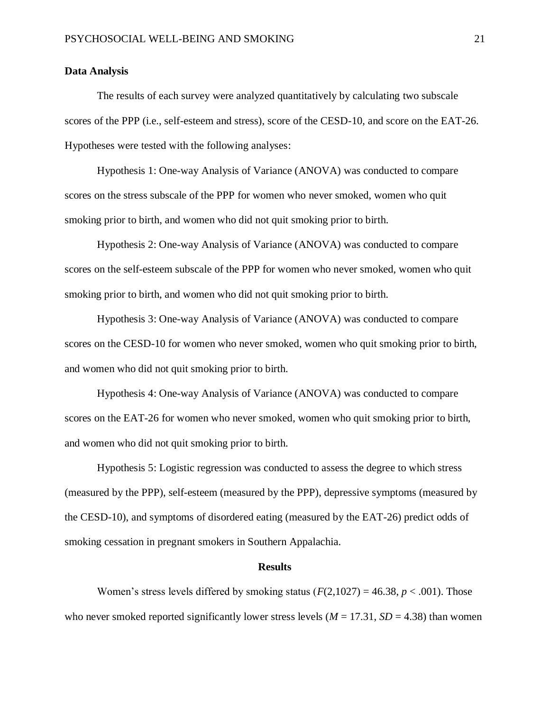## **Data Analysis**

The results of each survey were analyzed quantitatively by calculating two subscale scores of the PPP (i.e., self-esteem and stress), score of the CESD-10, and score on the EAT-26. Hypotheses were tested with the following analyses:

Hypothesis 1: One-way Analysis of Variance (ANOVA) was conducted to compare scores on the stress subscale of the PPP for women who never smoked, women who quit smoking prior to birth, and women who did not quit smoking prior to birth.

Hypothesis 2: One-way Analysis of Variance (ANOVA) was conducted to compare scores on the self-esteem subscale of the PPP for women who never smoked, women who quit smoking prior to birth, and women who did not quit smoking prior to birth.

Hypothesis 3: One-way Analysis of Variance (ANOVA) was conducted to compare scores on the CESD-10 for women who never smoked, women who quit smoking prior to birth, and women who did not quit smoking prior to birth.

Hypothesis 4: One-way Analysis of Variance (ANOVA) was conducted to compare scores on the EAT-26 for women who never smoked, women who quit smoking prior to birth, and women who did not quit smoking prior to birth.

Hypothesis 5: Logistic regression was conducted to assess the degree to which stress (measured by the PPP), self-esteem (measured by the PPP), depressive symptoms (measured by the CESD-10), and symptoms of disordered eating (measured by the EAT-26) predict odds of smoking cessation in pregnant smokers in Southern Appalachia.

#### **Results**

Women's stress levels differed by smoking status  $(F(2,1027) = 46.38, p < .001)$ . Those who never smoked reported significantly lower stress levels ( $M = 17.31$ ,  $SD = 4.38$ ) than women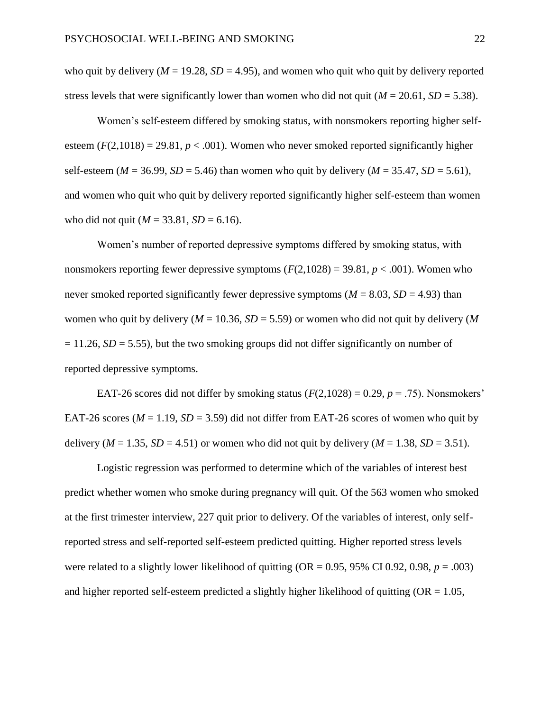who quit by delivery  $(M = 19.28, SD = 4.95)$ , and women who quit who quit by delivery reported stress levels that were significantly lower than women who did not quit ( $M = 20.61$ ,  $SD = 5.38$ ).

Women's self-esteem differed by smoking status, with nonsmokers reporting higher selfesteem  $(F(2,1018) = 29.81, p < .001)$ . Women who never smoked reported significantly higher self-esteem ( $M = 36.99$ ,  $SD = 5.46$ ) than women who quit by delivery ( $M = 35.47$ ,  $SD = 5.61$ ), and women who quit who quit by delivery reported significantly higher self-esteem than women who did not quit ( $M = 33.81$ ,  $SD = 6.16$ ).

Women's number of reported depressive symptoms differed by smoking status, with nonsmokers reporting fewer depressive symptoms  $(F(2,1028) = 39.81, p < .001)$ . Women who never smoked reported significantly fewer depressive symptoms ( $M = 8.03$ ,  $SD = 4.93$ ) than women who quit by delivery (*M* = 10.36, *SD* = 5.59) or women who did not quit by delivery (*M*  $= 11.26$ ,  $SD = 5.55$ ), but the two smoking groups did not differ significantly on number of reported depressive symptoms.

EAT-26 scores did not differ by smoking status  $(F(2,1028) = 0.29, p = .75)$ . Nonsmokers' EAT-26 scores ( $M = 1.19$ ,  $SD = 3.59$ ) did not differ from EAT-26 scores of women who quit by delivery ( $M = 1.35$ ,  $SD = 4.51$ ) or women who did not quit by delivery ( $M = 1.38$ ,  $SD = 3.51$ ).

Logistic regression was performed to determine which of the variables of interest best predict whether women who smoke during pregnancy will quit. Of the 563 women who smoked at the first trimester interview, 227 quit prior to delivery. Of the variables of interest, only selfreported stress and self-reported self-esteem predicted quitting. Higher reported stress levels were related to a slightly lower likelihood of quitting  $(OR = 0.95, 95\% \text{ CI } 0.92, 0.98, p = .003)$ and higher reported self-esteem predicted a slightly higher likelihood of quitting  $(OR = 1.05,$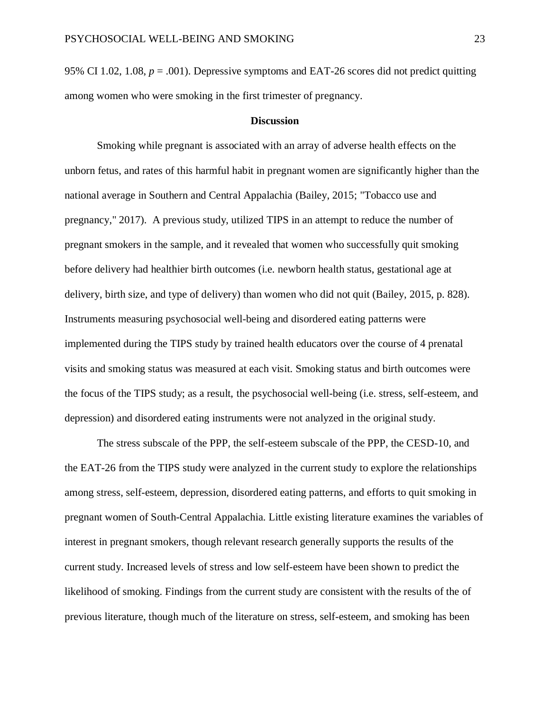95% CI 1.02, 1.08,  $p = .001$ ). Depressive symptoms and EAT-26 scores did not predict quitting among women who were smoking in the first trimester of pregnancy.

#### **Discussion**

Smoking while pregnant is associated with an array of adverse health effects on the unborn fetus, and rates of this harmful habit in pregnant women are significantly higher than the national average in Southern and Central Appalachia (Bailey, 2015; "Tobacco use and pregnancy," 2017). A previous study, utilized TIPS in an attempt to reduce the number of pregnant smokers in the sample, and it revealed that women who successfully quit smoking before delivery had healthier birth outcomes (i.e. newborn health status, gestational age at delivery, birth size, and type of delivery) than women who did not quit (Bailey, 2015, p. 828). Instruments measuring psychosocial well-being and disordered eating patterns were implemented during the TIPS study by trained health educators over the course of 4 prenatal visits and smoking status was measured at each visit. Smoking status and birth outcomes were the focus of the TIPS study; as a result, the psychosocial well-being (i.e. stress, self-esteem, and depression) and disordered eating instruments were not analyzed in the original study.

The stress subscale of the PPP, the self-esteem subscale of the PPP, the CESD-10, and the EAT-26 from the TIPS study were analyzed in the current study to explore the relationships among stress, self-esteem, depression, disordered eating patterns, and efforts to quit smoking in pregnant women of South-Central Appalachia. Little existing literature examines the variables of interest in pregnant smokers, though relevant research generally supports the results of the current study. Increased levels of stress and low self-esteem have been shown to predict the likelihood of smoking. Findings from the current study are consistent with the results of the of previous literature, though much of the literature on stress, self-esteem, and smoking has been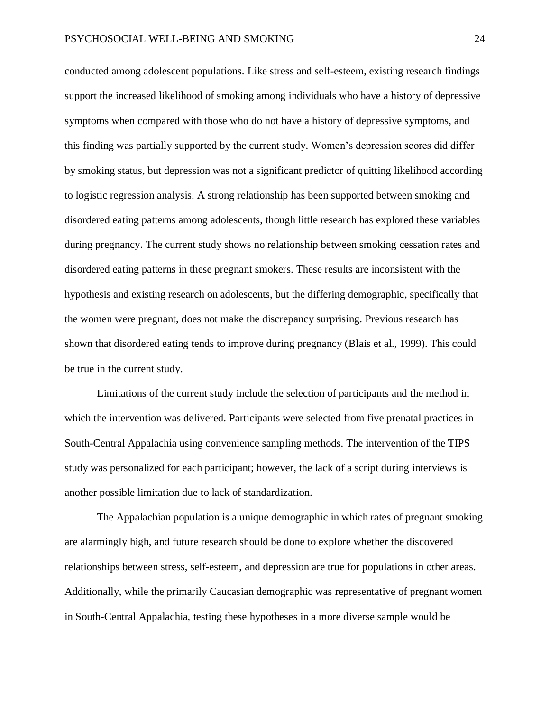conducted among adolescent populations. Like stress and self-esteem, existing research findings support the increased likelihood of smoking among individuals who have a history of depressive symptoms when compared with those who do not have a history of depressive symptoms, and this finding was partially supported by the current study. Women's depression scores did differ by smoking status, but depression was not a significant predictor of quitting likelihood according to logistic regression analysis. A strong relationship has been supported between smoking and disordered eating patterns among adolescents, though little research has explored these variables during pregnancy. The current study shows no relationship between smoking cessation rates and disordered eating patterns in these pregnant smokers. These results are inconsistent with the hypothesis and existing research on adolescents, but the differing demographic, specifically that the women were pregnant, does not make the discrepancy surprising. Previous research has shown that disordered eating tends to improve during pregnancy (Blais et al., 1999). This could be true in the current study.

Limitations of the current study include the selection of participants and the method in which the intervention was delivered. Participants were selected from five prenatal practices in South-Central Appalachia using convenience sampling methods. The intervention of the TIPS study was personalized for each participant; however, the lack of a script during interviews is another possible limitation due to lack of standardization.

The Appalachian population is a unique demographic in which rates of pregnant smoking are alarmingly high, and future research should be done to explore whether the discovered relationships between stress, self-esteem, and depression are true for populations in other areas. Additionally, while the primarily Caucasian demographic was representative of pregnant women in South-Central Appalachia, testing these hypotheses in a more diverse sample would be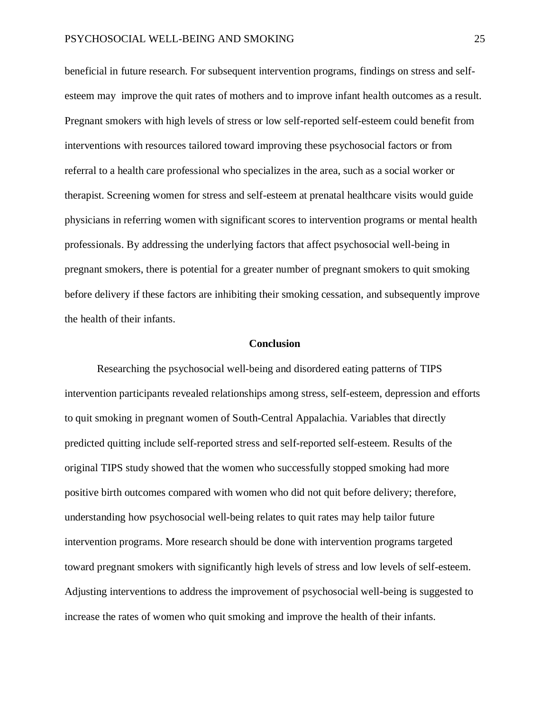beneficial in future research. For subsequent intervention programs, findings on stress and selfesteem may improve the quit rates of mothers and to improve infant health outcomes as a result. Pregnant smokers with high levels of stress or low self-reported self-esteem could benefit from interventions with resources tailored toward improving these psychosocial factors or from referral to a health care professional who specializes in the area, such as a social worker or therapist. Screening women for stress and self-esteem at prenatal healthcare visits would guide physicians in referring women with significant scores to intervention programs or mental health professionals. By addressing the underlying factors that affect psychosocial well-being in pregnant smokers, there is potential for a greater number of pregnant smokers to quit smoking before delivery if these factors are inhibiting their smoking cessation, and subsequently improve the health of their infants.

#### **Conclusion**

Researching the psychosocial well-being and disordered eating patterns of TIPS intervention participants revealed relationships among stress, self-esteem, depression and efforts to quit smoking in pregnant women of South-Central Appalachia. Variables that directly predicted quitting include self-reported stress and self-reported self-esteem. Results of the original TIPS study showed that the women who successfully stopped smoking had more positive birth outcomes compared with women who did not quit before delivery; therefore, understanding how psychosocial well-being relates to quit rates may help tailor future intervention programs. More research should be done with intervention programs targeted toward pregnant smokers with significantly high levels of stress and low levels of self-esteem. Adjusting interventions to address the improvement of psychosocial well-being is suggested to increase the rates of women who quit smoking and improve the health of their infants.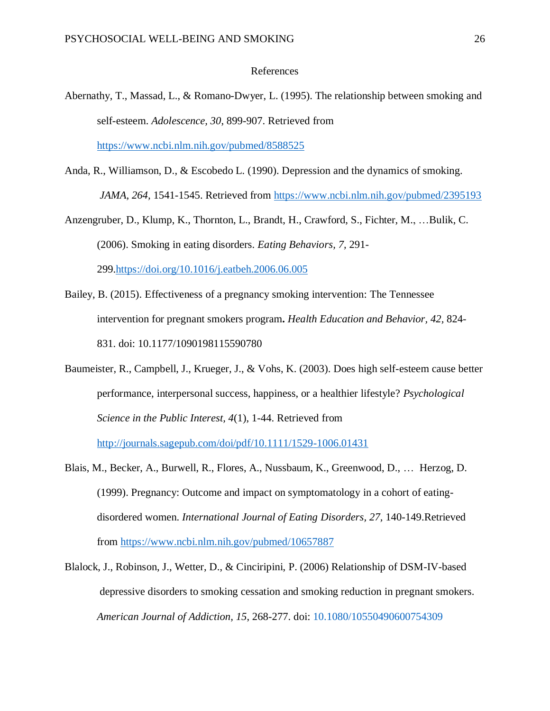## References

- Abernathy, T., Massad, L., & Romano-Dwyer, L. (1995). The relationship between smoking and self-esteem. *Adolescence, 30*, 899-907. Retrieved from <https://www.ncbi.nlm.nih.gov/pubmed/8588525>
- Anda, R., Williamson, D., & Escobedo L*.* (1990). Depression and the dynamics of smoking. *JAMA, 264,* 1541-1545. Retrieved from<https://www.ncbi.nlm.nih.gov/pubmed/2395193>
- Anzengruber, D., Klump, K., Thornton, L., Brandt, H., Crawford, S., Fichter, M., …Bulik, C. (2006). Smoking in eating disorders. *Eating Behaviors, 7,* 291- 299[.https://doi.org/10.1016/j.eatbeh.2006.06.005](https://doi.org/10.1016/j.eatbeh.2006.06.005)
- Bailey, B. (2015). Effectiveness of a pregnancy smoking intervention: The Tennessee intervention for pregnant smokers program**.** *Health Education and Behavior, 42,* 824- 831. doi: 10.1177/1090198115590780
- Baumeister, R., Campbell, J., Krueger, J., & Vohs, K. (2003). Does high self-esteem cause better performance, interpersonal success, happiness, or a healthier lifestyle? *Psychological Science in the Public Interest, 4*(1), 1-44. Retrieved from

<http://journals.sagepub.com/doi/pdf/10.1111/1529-1006.01431>

- Blais, M., Becker, A., Burwell, R., Flores, A., Nussbaum, K., Greenwood, D., … Herzog, D. (1999). Pregnancy: Outcome and impact on symptomatology in a cohort of eatingdisordered women. *International Journal of Eating Disorders, 27,* 140-149.Retrieved from<https://www.ncbi.nlm.nih.gov/pubmed/10657887>
- Blalock, J., Robinson, J., Wetter, D., & Cinciripini, P. (2006) Relationship of DSM-IV-based depressive disorders to smoking cessation and smoking reduction in pregnant smokers. *American Journal of Addiction, 15*, 268-277. doi: [10.1080/10550490600754309](https://doi.org/10.1080/10550490600754309)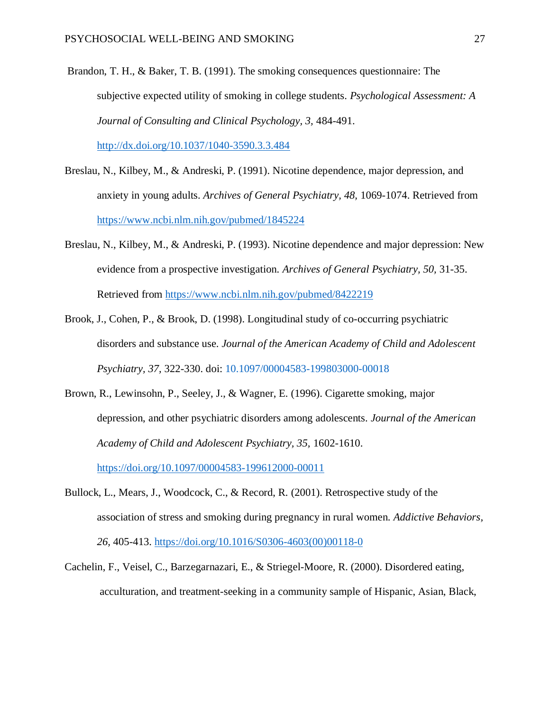- Brandon, T. H., & Baker, T. B. (1991). The smoking consequences questionnaire: The subjective expected utility of smoking in college students. *Psychological Assessment: A Journal of Consulting and Clinical Psychology, 3,* 484-491. <http://dx.doi.org/10.1037/1040-3590.3.3.484>
- Breslau, N., Kilbey, M., & Andreski, P. (1991). Nicotine dependence, major depression, and anxiety in young adults. *Archives of General Psychiatry, 48,* 1069-1074. Retrieved from <https://www.ncbi.nlm.nih.gov/pubmed/1845224>
- Breslau, N., Kilbey, M., & Andreski, P. (1993). Nicotine dependence and major depression: New evidence from a prospective investigation. *Archives of General Psychiatry, 50,* 31-35. Retrieved from<https://www.ncbi.nlm.nih.gov/pubmed/8422219>
- Brook, J., Cohen, P., & Brook, D. (1998). Longitudinal study of co-occurring psychiatric disorders and substance use. *Journal of the American Academy of Child and Adolescent Psychiatry, 37,* 322-330. doi: [10.1097/00004583-199803000-00018](https://doi.org/10.1097/00004583-199803000-00018)
- Brown, R., Lewinsohn, P., Seeley, J., & Wagner, E. (1996). Cigarette smoking, major depression, and other psychiatric disorders among adolescents. *Journal of the American Academy of Child and Adolescent Psychiatry, 35,* 1602-1610. <https://doi.org/10.1097/00004583-199612000-00011>
- Bullock, L., Mears, J., Woodcock, C., & Record, R. (2001). Retrospective study of the association of stress and smoking during pregnancy in rural women. *Addictive Behaviors, 26,* 405-413. [https://doi.org/10.1016/S0306-4603\(00\)00118-0](https://doi.org/10.1016/S0306-4603(00)00118-0)
- Cachelin, F., Veisel, C., Barzegarnazari, E., & Striegel-Moore, R. (2000). Disordered eating, acculturation, and treatment-seeking in a community sample of Hispanic, Asian, Black,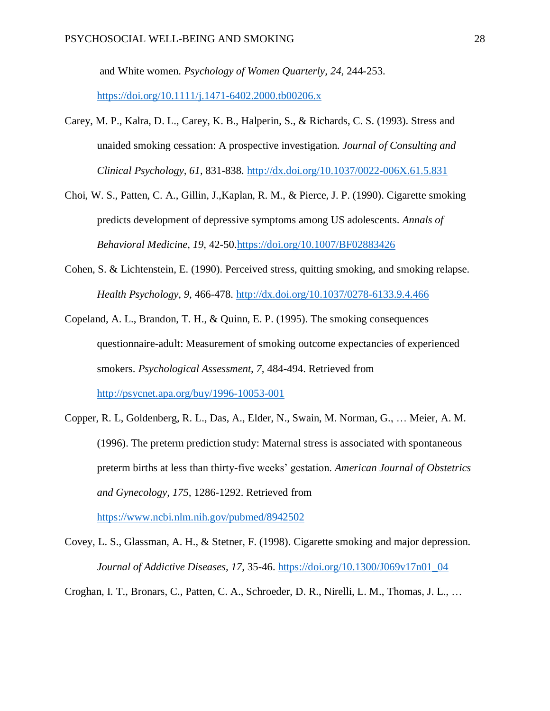and White women. *Psychology of Women Quarterly, 24,* 244-253.

<https://doi.org/10.1111/j.1471-6402.2000.tb00206.x>

- Carey, M. P., Kalra, D. L., Carey, K. B., Halperin, S., & Richards, C. S. (1993). Stress and unaided smoking cessation: A prospective investigation. *Journal of Consulting and Clinical Psychology, 61*, 831-838. [http://dx.doi.org/10.1037/0022-006X.61.5.831](http://psycnet.apa.org/doi/10.1037/0022-006X.61.5.831)
- Choi, W. S., Patten, C. A., Gillin, J.,Kaplan, R. M., & Pierce, J. P. (1990). Cigarette smoking predicts development of depressive symptoms among US adolescents. *Annals of Behavioral Medicine, 19,* 42-50[.https://doi.org/10.1007/BF02883426](https://doi.org/10.1007/BF02883426)
- Cohen, S. & Lichtenstein, E. (1990). Perceived stress, quitting smoking, and smoking relapse. *Health Psychology, 9,* 466-478. <http://dx.doi.org/10.1037/0278-6133.9.4.466>
- Copeland, A. L., Brandon, T. H., & Quinn, E. P. (1995). The smoking consequences questionnaire-adult: Measurement of smoking outcome expectancies of experienced smokers. *Psychological Assessment, 7,* 484-494. Retrieved from <http://psycnet.apa.org/buy/1996-10053-001>
- Copper, R. L, Goldenberg, R. L., Das, A., Elder, N., Swain, M. Norman, G., … Meier, A. M. (1996). The preterm prediction study: Maternal stress is associated with spontaneous preterm births at less than thirty-five weeks' gestation. *American Journal of Obstetrics and Gynecology, 175,* 1286-1292. Retrieved from

<https://www.ncbi.nlm.nih.gov/pubmed/8942502>

- Covey, L. S., Glassman, A. H., & Stetner, F. (1998). Cigarette smoking and major depression. *Journal of Addictive Diseases, 17,* 35-46. [https://doi.org/10.1300/J069v17n01\\_04](https://doi.org/10.1300/J069v17n01_04)
- Croghan, I. T., Bronars, C., Patten, C. A., Schroeder, D. R., Nirelli, L. M., Thomas, J. L., …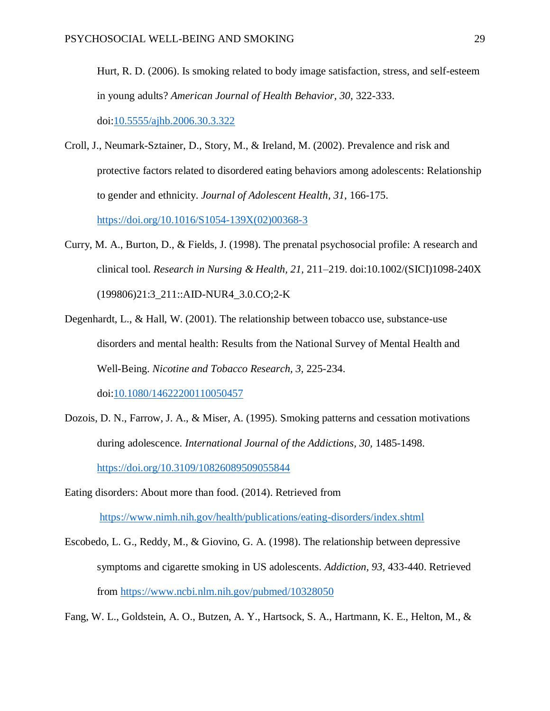Hurt, R. D. (2006). Is smoking related to body image satisfaction, stress, and self-esteem in young adults? *American Journal of Health Behavior, 30,* 322-333. doi[:10.5555/ajhb.2006.30.3.322](https://doi.org/10.5555/ajhb.2006.30.3.322)

Croll, J., Neumark-Sztainer, D., Story, M., & Ireland, M. (2002). Prevalence and risk and protective factors related to disordered eating behaviors among adolescents: Relationship to gender and ethnicity. *Journal of Adolescent Health, 31*, 166-175[.](https://doi.org/10.1016/S1054-139X(02)00368-3) [https://doi.org/10.1016/S1054-139X\(02\)00368-3](https://doi.org/10.1016/S1054-139X(02)00368-3)

- Curry, M. A., Burton, D., & Fields, J. (1998). The prenatal psychosocial profile: A research and clinical tool. *Research in Nursing & Health, 21,* 211–219. doi:10.1002/(SICI)1098-240X (199806)21:3\_211::AID-NUR4\_3.0.CO;2-K
- Degenhardt, L., & Hall, W. (2001). The relationship between tobacco use, substance-use disorders and mental health: Results from the National Survey of Mental Health and Well-Being. *Nicotine and Tobacco Research, 3,* 225-234. doi[:10.1080/14622200110050457](https://doi.org/10.1080/14622200110050457)
- Dozois, D. N., Farrow, J. A., & Miser, A. (1995). Smoking patterns and cessation motivations during adolescence. *International Journal of the Addictions, 30,* 1485-1498. <https://doi.org/10.3109/10826089509055844>

Eating disorders: About more than food. (2014). Retrieved from <https://www.nimh.nih.gov/health/publications/eating-disorders/index.shtml>

Escobedo, L. G., Reddy, M., & Giovino, G. A. (1998). The relationship between depressive symptoms and cigarette smoking in US adolescents. *Addiction, 93,* 433-440. Retrieved from<https://www.ncbi.nlm.nih.gov/pubmed/10328050>

Fang, W. L., Goldstein, A. O., Butzen, A. Y., Hartsock, S. A., Hartmann, K. E., Helton, M., &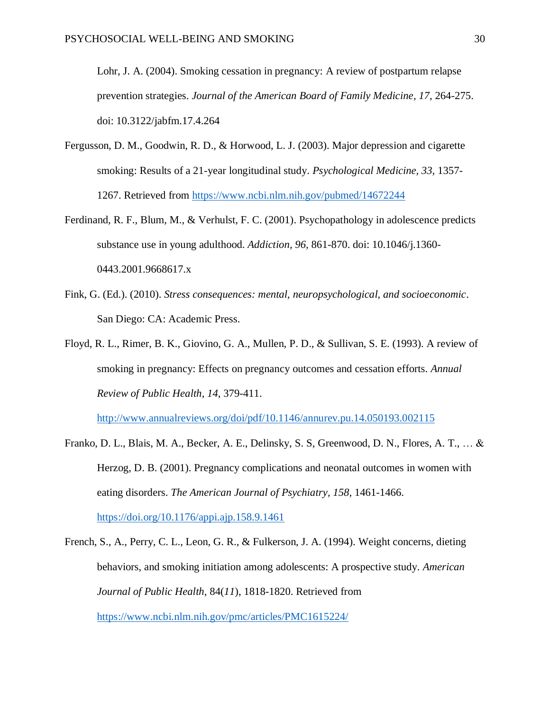Lohr, J. A. (2004). Smoking cessation in pregnancy: A review of postpartum relapse prevention strategies. *Journal of the American Board of Family Medicine, 17,* 264-275. doi: 10.3122/jabfm.17.4.264

- Fergusson, D. M., Goodwin, R. D., & Horwood, L. J. (2003). Major depression and cigarette smoking: Results of a 21-year longitudinal study. *Psychological Medicine, 33,* 1357- 1267. Retrieved from<https://www.ncbi.nlm.nih.gov/pubmed/14672244>
- Ferdinand, R. F., Blum, M., & Verhulst, F. C. (2001). Psychopathology in adolescence predicts substance use in young adulthood. *Addiction, 96,* 861-870. doi: 10.1046/j.1360- 0443.2001.9668617.x
- Fink, G. (Ed.). (2010). *Stress consequences: mental, neuropsychological, and socioeconomic*. San Diego: CA: Academic Press.
- Floyd, R. L., Rimer, B. K., Giovino, G. A., Mullen, P. D., & Sullivan, S. E. (1993). A review of smoking in pregnancy: Effects on pregnancy outcomes and cessation efforts. *Annual Review of Public Health*, *14*, 379-411.

<http://www.annualreviews.org/doi/pdf/10.1146/annurev.pu.14.050193.002115>

- Franko, D. L., Blais, M. A., Becker, A. E., Delinsky, S. S, Greenwood, D. N., Flores, A. T., … & Herzog, D. B. (2001). Pregnancy complications and neonatal outcomes in women with eating disorders. *The American Journal of Psychiatry, 158,* 1461-1466. <https://doi.org/10.1176/appi.ajp.158.9.1461>
- French, S., A., Perry, C. L., Leon, G. R., & Fulkerson, J. A. (1994). Weight concerns, dieting behaviors, and smoking initiation among adolescents: A prospective study. *American Journal of Public Health,* 84(*11*), 1818-1820. Retrieved from <https://www.ncbi.nlm.nih.gov/pmc/articles/PMC1615224/>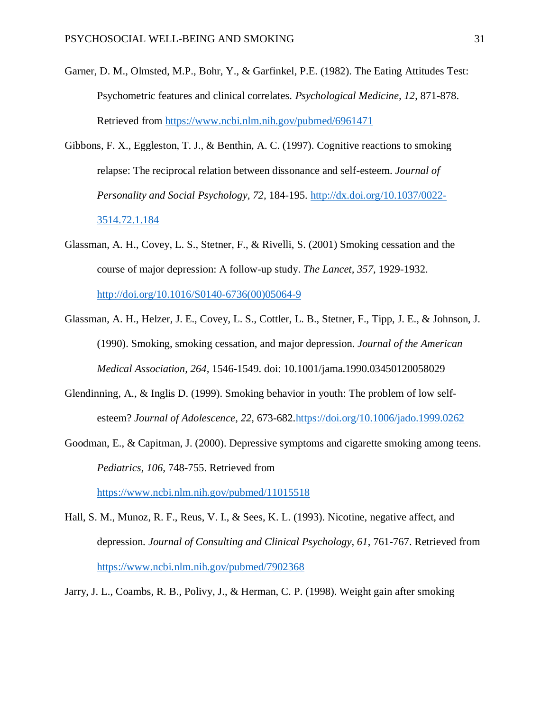- Garner, D. M., Olmsted, M.P., Bohr, Y., & Garfinkel, P.E. (1982). The Eating Attitudes Test: Psychometric features and clinical correlates. *Psychological Medicine, 12*, 871-878. Retrieved from<https://www.ncbi.nlm.nih.gov/pubmed/6961471>
- Gibbons, F. X., Eggleston, T. J., & Benthin, A. C. (1997). Cognitive reactions to smoking relapse: The reciprocal relation between dissonance and self-esteem. *Journal of Personality and Social Psychology, 72,* 184-195. [http://dx.doi.org/10.1037/0022-](http://dx.doi.org/10.1037/0022-3514.72.1.184) [3514.72.1.184](http://dx.doi.org/10.1037/0022-3514.72.1.184)
- Glassman, A. H., Covey, L. S., Stetner, F., & Rivelli, S. (2001) Smoking cessation and the course of major depression: A follow-up study. *The Lancet, 357,* 1929-1932. [http://doi.org/10.1016/S0140-6736\(00\)05064-9](http://doi.org/10.1016/S0140-6736(00)05064-9)
- Glassman, A. H., Helzer, J. E., Covey, L. S., Cottler, L. B., Stetner, F., Tipp, J. E., & Johnson, J. (1990). Smoking, smoking cessation, and major depression. *Journal of the American Medical Association, 264,* 1546-1549. doi: 10.1001/jama.1990.03450120058029
- Glendinning, A., & Inglis D. (1999). Smoking behavior in youth: The problem of low selfesteem? *Journal of Adolescence, 22,* 673-682[.https://doi.org/10.1006/jado.1999.0262](https://doi.org/10.1006/jado.1999.0262)
- Goodman, E., & Capitman, J. (2000). Depressive symptoms and cigarette smoking among teens. *Pediatrics, 106,* 748-755. Retrieved from

<https://www.ncbi.nlm.nih.gov/pubmed/11015518>

- Hall, S. M., Munoz, R. F., Reus, V. I., & Sees, K. L. (1993). Nicotine, negative affect, and depression. *Journal of Consulting and Clinical Psychology, 61*, 761-767. Retrieved from <https://www.ncbi.nlm.nih.gov/pubmed/7902368>
- Jarry, J. L., Coambs, R. B., Polivy, J., & Herman, C. P. (1998). Weight gain after smoking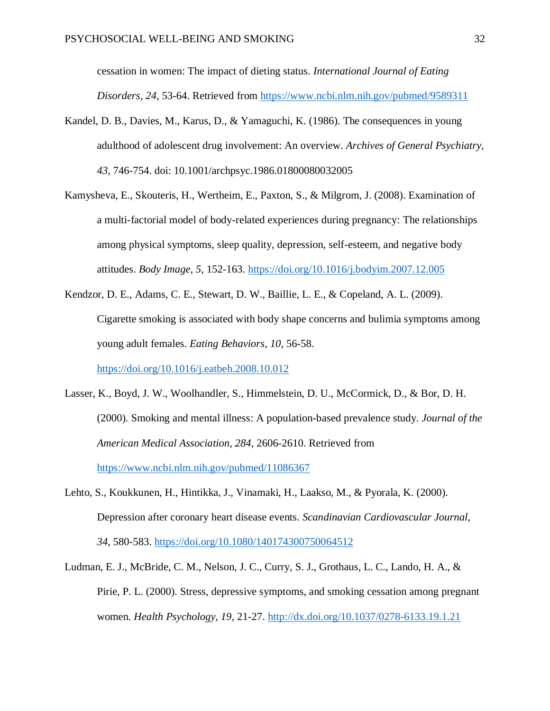cessation in women: The impact of dieting status. *International Journal of Eating Disorders, 24,* 53-64. Retrieved from<https://www.ncbi.nlm.nih.gov/pubmed/9589311>

- Kandel, D. B., Davies, M., Karus, D., & Yamaguchi, K. (1986). The consequences in young adulthood of adolescent drug involvement: An overview. *Archives of General Psychiatry, 43,* 746-754. doi: 10.1001/archpsyc.1986.01800080032005
- Kamysheva, E., Skouteris, H., Wertheim, E., Paxton, S., & Milgrom, J. (2008). Examination of a multi-factorial model of body-related experiences during pregnancy: The relationships among physical symptoms, sleep quality, depression, self-esteem, and negative body attitudes. *Body Image, 5,* 152-163.<https://doi.org/10.1016/j.bodyim.2007.12.005>
- Kendzor, D. E., Adams, C. E., Stewart, D. W., Baillie, L. E., & Copeland, A. L. (2009). Cigarette smoking is associated with body shape concerns and bulimia symptoms among young adult females. *Eating Behaviors, 10,* 56-58.

<https://doi.org/10.1016/j.eatbeh.2008.10.012>

- Lasser, K., Boyd, J. W., Woolhandler, S., Himmelstein, D. U., McCormick, D., & Bor, D. H. (2000)*.* Smoking and mental illness: A population-based prevalence study. *Journal of the American Medical Association, 284,* 2606-2610. Retrieved from <https://www.ncbi.nlm.nih.gov/pubmed/11086367>
- Lehto, S., Koukkunen, H., Hintikka, J., Vinamaki, H., Laakso, M., & Pyorala, K. (2000). Depression after coronary heart disease events. *Scandinavian Cardiovascular Journal, 34,* 580-583. <https://doi.org/10.1080/140174300750064512>
- Ludman, E. J., McBride, C. M., Nelson, J. C., Curry, S. J., Grothaus, L. C., Lando, H. A., & Pirie, P. L. (2000). Stress, depressive symptoms, and smoking cessation among pregnant women. *Health Psychology, 19*, 21-27. [http://dx.doi.org/10.1037/0278-6133.19.1.21](http://psycnet.apa.org/doi/10.1037/0278-6133.19.1.21)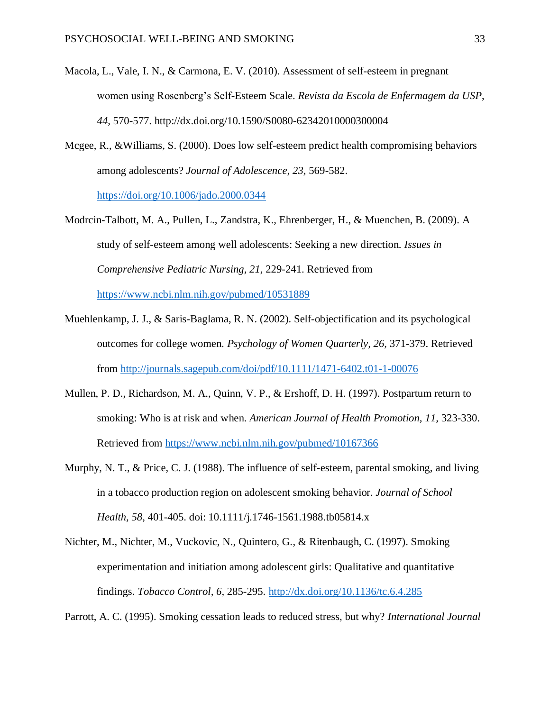- Macola, L., Vale, I. N., & Carmona, E. V. (2010). Assessment of self-esteem in pregnant women using Rosenberg's Self-Esteem Scale. *Revista da Escola de Enfermagem da USP*, *44,* 570-577. http://dx.doi.org/10.1590/S0080-62342010000300004
- Mcgee, R., &Williams, S. (2000). Does low self-esteem predict health compromising behaviors among adolescents? *Journal of Adolescence, 23,* 569-582.

<https://doi.org/10.1006/jado.2000.0344>

- Modrcin-Talbott, M. A., Pullen, L., Zandstra, K., Ehrenberger, H., & Muenchen, B. (2009). A study of self-esteem among well adolescents: Seeking a new direction. *Issues in Comprehensive Pediatric Nursing, 21,* 229-241. Retrieved from <https://www.ncbi.nlm.nih.gov/pubmed/10531889>
- Muehlenkamp, J. J., & Saris-Baglama, R. N. (2002). Self-objectification and its psychological outcomes for college women. *Psychology of Women Quarterly, 26,* 371-379. Retrieved from<http://journals.sagepub.com/doi/pdf/10.1111/1471-6402.t01-1-00076>
- Mullen, P. D., Richardson, M. A., Quinn, V. P., & Ershoff, D. H. (1997). Postpartum return to smoking: Who is at risk and when. *American Journal of Health Promotion, 11,* 323-330. Retrieved from<https://www.ncbi.nlm.nih.gov/pubmed/10167366>
- Murphy, N. T., & Price, C. J. (1988). The influence of self-esteem, parental smoking, and living in a tobacco production region on adolescent smoking behavior. *Journal of School Health, 58,* 401-405. doi: 10.1111/j.1746-1561.1988.tb05814.x
- Nichter, M., Nichter, M., Vuckovic, N., Quintero, G., & Ritenbaugh, C. (1997). Smoking experimentation and initiation among adolescent girls: Qualitative and quantitative findings. *Tobacco Control, 6,* 285-295. <http://dx.doi.org/10.1136/tc.6.4.285>

Parrott, A. C. (1995). Smoking cessation leads to reduced stress, but why? *International Journal*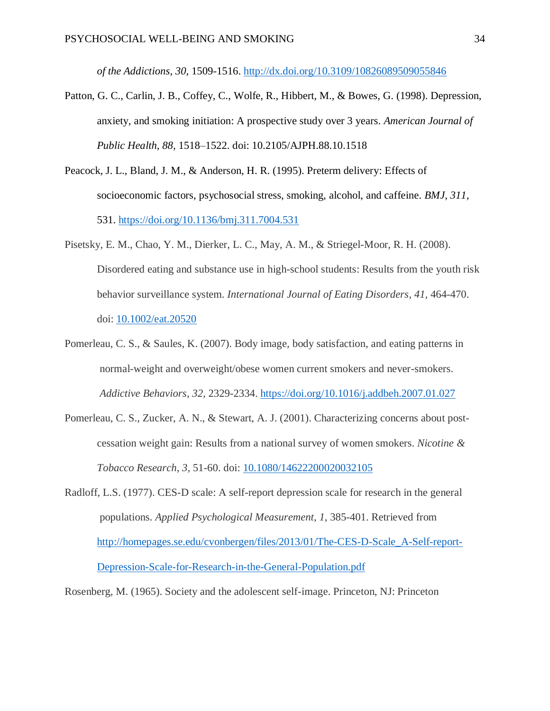*of the Addictions, 30,* 1509-1516. <http://dx.doi.org/10.3109/10826089509055846>

- Patton, G. C., Carlin, J. B., Coffey, C., Wolfe, R., Hibbert, M., & Bowes, G. (1998). Depression, anxiety, and smoking initiation: A prospective study over 3 years. *American Journal of Public Health, 88,* 1518–1522. doi: 10.2105/AJPH.88.10.1518
- Peacock, J. L., Bland, J. M., & Anderson, H. R. (1995). Preterm delivery: Effects of socioeconomic factors, psychosocial stress, smoking, alcohol, and caffeine. *BMJ, 311,*  531. <https://doi.org/10.1136/bmj.311.7004.531>
- Pisetsky, E. M., Chao, Y. M., Dierker, L. C., May, A. M., & Striegel-Moor, R. H. (2008). Disordered eating and substance use in high-school students: Results from the youth risk behavior surveillance system. *International Journal of Eating Disorders, 41,* 464-470. doi: [10.1002/eat.20520](https://doi.org/10.1002/eat.20520)
- Pomerleau, C. S., & Saules, K. (2007). Body image, body satisfaction, and eating patterns in normal-weight and overweight/obese women current smokers and never-smokers. *Addictive Behaviors, 32,* 2329-2334. <https://doi.org/10.1016/j.addbeh.2007.01.027>
- Pomerleau, C. S., Zucker, A. N., & Stewart, A. J. (2001). Characterizing concerns about postcessation weight gain: Results from a national survey of women smokers. *Nicotine & Tobacco Research*, *3,* 51-60. doi: [10.1080/14622200020032105](https://doi.org/10.1080/14622200020032105)
- Radloff, L.S. (1977). CES-D scale: A self-report depression scale for research in the general populations. *Applied Psychological Measurement*, *1*, 385-401. Retrieved from [http://homepages.se.edu/cvonbergen/files/2013/01/The-CES-D-Scale\\_A-Self-report-](http://homepages.se.edu/cvonbergen/files/2013/01/The-CES-D-Scale_A-Self-report-Depression-Scale-for-Research-in-the-General-Population.pdf)[Depression-Scale-for-Research-in-the-General-Population.pdf](http://homepages.se.edu/cvonbergen/files/2013/01/The-CES-D-Scale_A-Self-report-Depression-Scale-for-Research-in-the-General-Population.pdf)

Rosenberg, M. (1965). Society and the adolescent self-image. Princeton, NJ: Princeton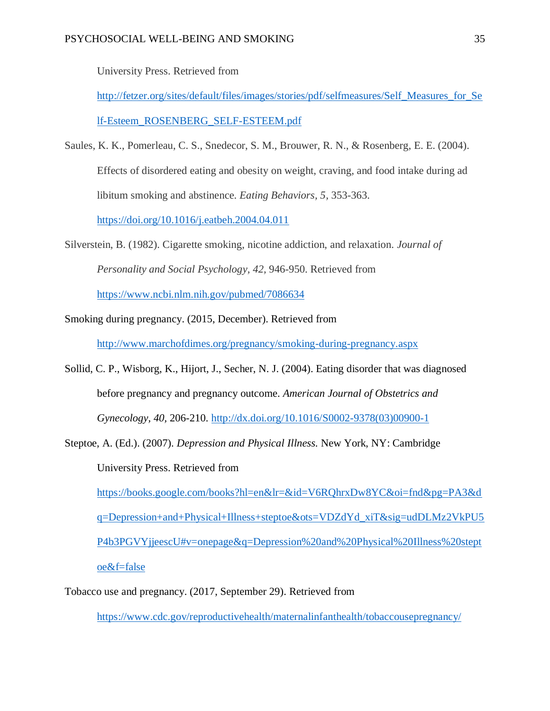University Press. Retrieved from

[http://fetzer.org/sites/default/files/images/stories/pdf/selfmeasures/Self\\_Measures\\_for\\_Se](http://fetzer.org/sites/default/files/images/stories/pdf/selfmeasures/Self_Measures_for_Self-Esteem_ROSENBERG_SELF-ESTEEM.pdf) [lf-Esteem\\_ROSENBERG\\_SELF-ESTEEM.pdf](http://fetzer.org/sites/default/files/images/stories/pdf/selfmeasures/Self_Measures_for_Self-Esteem_ROSENBERG_SELF-ESTEEM.pdf)

Saules, K. K., Pomerleau, C. S., Snedecor, S. M., Brouwer, R. N., & Rosenberg, E. E. (2004). Effects of disordered eating and obesity on weight, craving, and food intake during ad libitum smoking and abstinence. *Eating Behaviors, 5,* 353-363.

<https://doi.org/10.1016/j.eatbeh.2004.04.011>

Silverstein, B. (1982). Cigarette smoking, nicotine addiction, and relaxation. *Journal of Personality and Social Psychology, 42,* 946-950. Retrieved from

<https://www.ncbi.nlm.nih.gov/pubmed/7086634>

Smoking during pregnancy. (2015, December). Retrieved from

<http://www.marchofdimes.org/pregnancy/smoking-during-pregnancy.aspx>

- Sollid, C. P., Wisborg, K., Hijort, J., Secher, N. J. (2004). Eating disorder that was diagnosed before pregnancy and pregnancy outcome. *American Journal of Obstetrics and Gynecology, 40,* 206-210. [http://dx.doi.org/10.1016/S0002-9378\(03\)00900-1](http://dx.doi.org/10.1016/S0002-9378(03)00900-1)
- Steptoe, A. (Ed.). (2007). *Depression and Physical Illness.* New York, NY: Cambridge University Press. Retrieved from

[https://books.google.com/books?hl=en&lr=&id=V6RQhrxDw8YC&oi=fnd&pg=PA3&d](https://books.google.com/books?hl=en&lr=&id=V6RQhrxDw8YC&oi=fnd&pg=PA3&dq=Depression+and+Physical+Illness+steptoe&ots=VDZdYd_xiT&sig=udDLMz2VkPU5P4b3PGVYjjeescU#v=onepage&q=Depression%20and%20Physical%20Illness%20steptoe&f=false)

[q=Depression+and+Physical+Illness+steptoe&ots=VDZdYd\\_xiT&sig=udDLMz2VkPU5](https://books.google.com/books?hl=en&lr=&id=V6RQhrxDw8YC&oi=fnd&pg=PA3&dq=Depression+and+Physical+Illness+steptoe&ots=VDZdYd_xiT&sig=udDLMz2VkPU5P4b3PGVYjjeescU#v=onepage&q=Depression%20and%20Physical%20Illness%20steptoe&f=false)

[P4b3PGVYjjeescU#v=onepage&q=Depression%20and%20Physical%20Illness%20stept](https://books.google.com/books?hl=en&lr=&id=V6RQhrxDw8YC&oi=fnd&pg=PA3&dq=Depression+and+Physical+Illness+steptoe&ots=VDZdYd_xiT&sig=udDLMz2VkPU5P4b3PGVYjjeescU#v=onepage&q=Depression%20and%20Physical%20Illness%20steptoe&f=false)

[oe&f=false](https://books.google.com/books?hl=en&lr=&id=V6RQhrxDw8YC&oi=fnd&pg=PA3&dq=Depression+and+Physical+Illness+steptoe&ots=VDZdYd_xiT&sig=udDLMz2VkPU5P4b3PGVYjjeescU#v=onepage&q=Depression%20and%20Physical%20Illness%20steptoe&f=false)

Tobacco use and pregnancy. (2017, September 29). Retrieved from

<https://www.cdc.gov/reproductivehealth/maternalinfanthealth/tobaccousepregnancy/>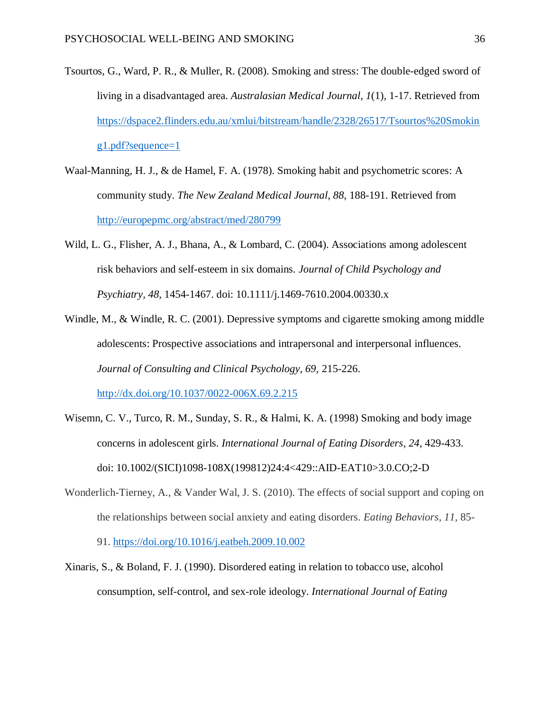- Tsourtos, G., Ward, P. R., & Muller, R. (2008). Smoking and stress: The double-edged sword of living in a disadvantaged area. *Australasian Medical Journal*, *1*(1)*,* 1-17. Retrieved from [https://dspace2.flinders.edu.au/xmlui/bitstream/handle/2328/26517/Tsourtos%20Smokin](https://dspace2.flinders.edu.au/xmlui/bitstream/handle/2328/26517/Tsourtos%20Smoking1.pdf?sequence=1) [g1.pdf?sequence=1](https://dspace2.flinders.edu.au/xmlui/bitstream/handle/2328/26517/Tsourtos%20Smoking1.pdf?sequence=1)
- Waal-Manning, H. J., & de Hamel, F. A. (1978). Smoking habit and psychometric scores: A community study. *The New Zealand Medical Journal, 88,* 188-191. Retrieved from <http://europepmc.org/abstract/med/280799>
- Wild, L. G., Flisher, A. J., Bhana, A., & Lombard, C. (2004). Associations among adolescent risk behaviors and self-esteem in six domains. *Journal of Child Psychology and Psychiatry, 48,* 1454-1467. doi: 10.1111/j.1469-7610.2004.00330.x
- Windle, M., & Windle, R. C. (2001). Depressive symptoms and cigarette smoking among middle adolescents: Prospective associations and intrapersonal and interpersonal influences. *Journal of Consulting and Clinical Psychology, 69,* 215-226. <http://dx.doi.org/10.1037/0022-006X.69.2.215>
- Wisemn, C. V., Turco, R. M., Sunday, S. R., & Halmi, K. A. (1998) Smoking and body image concerns in adolescent girls. *International Journal of Eating Disorders, 24,* 429-433. doi: 10.1002/(SICI)1098-108X(199812)24:4<429::AID-EAT10>3.0.CO;2-D
- Wonderlich-Tierney, A., & Vander Wal, J. S. (2010). The effects of social support and coping on the relationships between social anxiety and eating disorders. *Eating Behaviors, 11,* 85- 91. <https://doi.org/10.1016/j.eatbeh.2009.10.002>
- Xinaris, S., & Boland, F. J. (1990). Disordered eating in relation to tobacco use, alcohol consumption, self-control, and sex-role ideology. *International Journal of Eating*